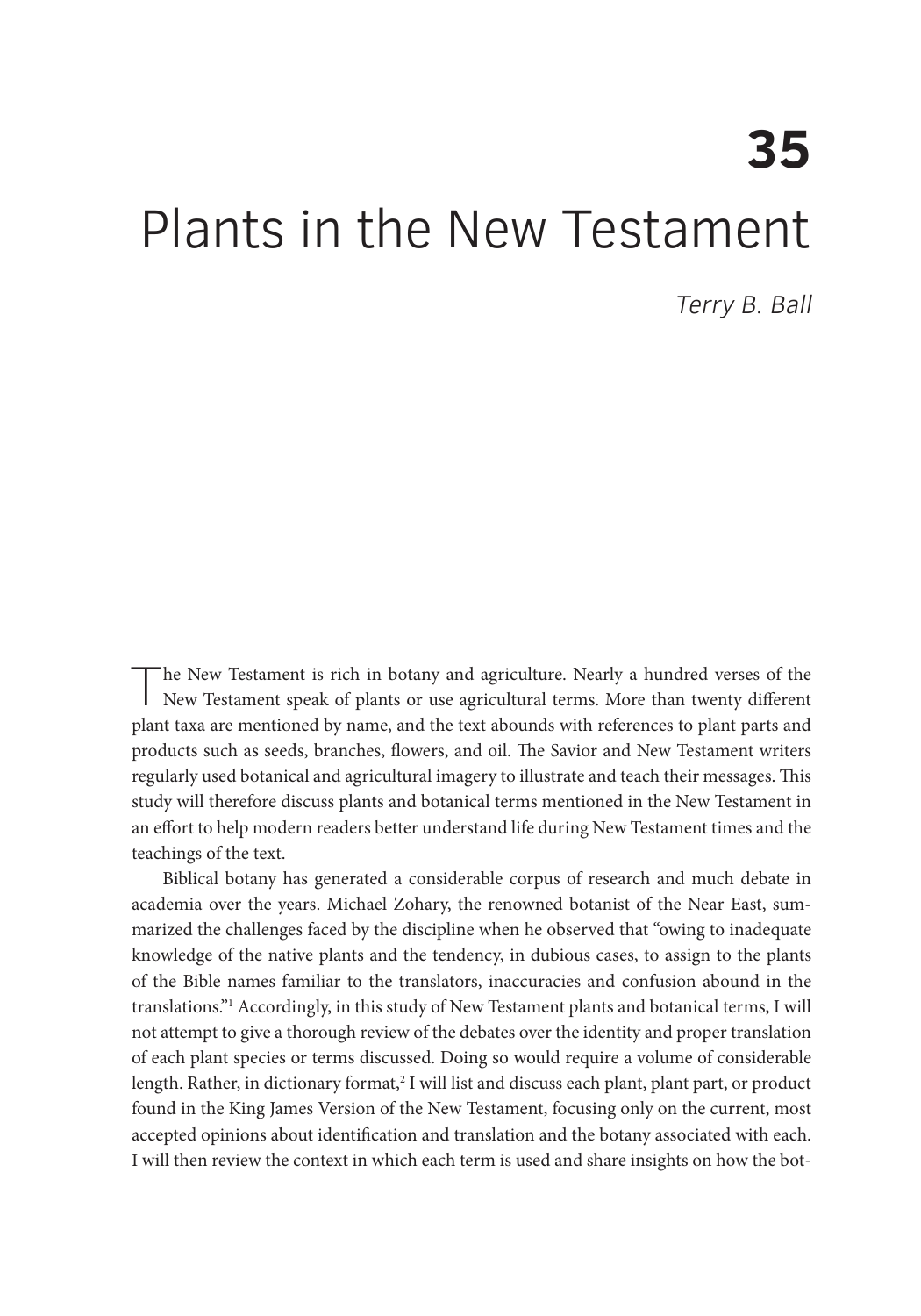# **35**  Plants in the New Testament

Terry B. Ball

The New Testament is rich in botany and agriculture. Nearly a hundred verses of the New Testament speak of plants or use agricultural terms. More than twenty different plant taxa are mentioned by name, and the text abounds with references to plant parts and products such as seeds, branches, flowers, and oil. The Savior and New Testament writers regularly used botanical and agricultural imagery to illustrate and teach their messages. This study will therefore discuss plants and botanical terms mentioned in the New Testament in an effort to help modern readers better understand life during New Testament times and the teachings of the text.

Biblical botany has generated a considerable corpus of research and much debate in academia over the years. Michael Zohary, the renowned botanist of the Near East, summarized the challenges faced by the discipline when he observed that "owing to inadequate knowledge of the native plants and the tendency, in dubious cases, to assign to the plants of the Bible names familiar to the translators, inaccuracies and confusion abound in the translations."1 Accordingly, in this study of New Testament plants and botanical terms, I will not attempt to give a thorough review of the debates over the identity and proper translation of each plant species or terms discussed. Doing so would require a volume of considerable length. Rather, in dictionary format,<sup>2</sup> I will list and discuss each plant, plant part, or product found in the King James Version of the New Testament, focusing only on the current, most accepted opinions about identification and translation and the botany associated with each. I will then review the context in which each term is used and share insights on how the bot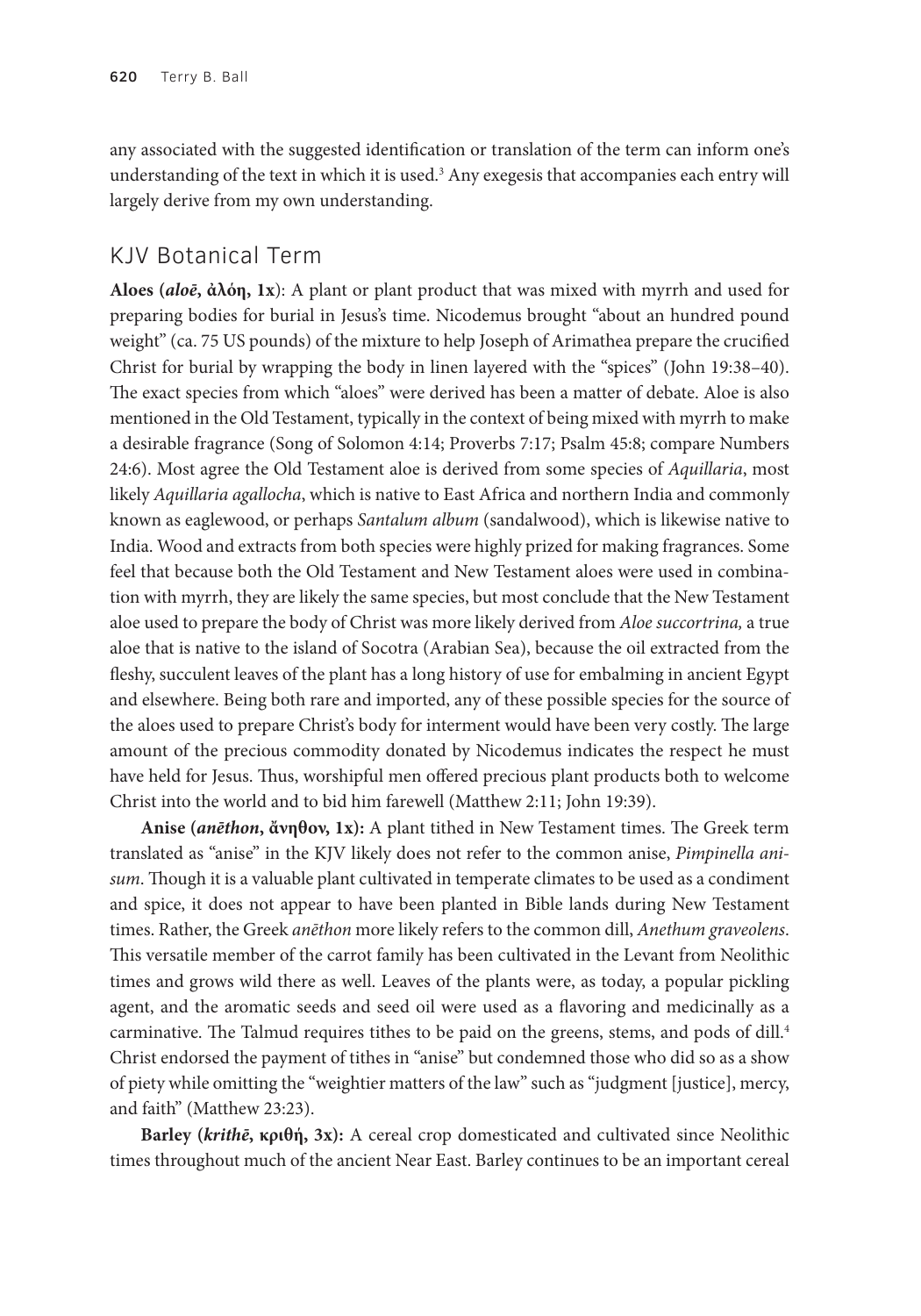any associated with the suggested identification or translation of the term can inform one's understanding of the text in which it is used.<sup>3</sup> Any exegesis that accompanies each entry will largely derive from my own understanding.

## KJV Botanical Term

**Aloes (***aloē***, ἀλόη, 1x**): A plant or plant product that was mixed with myrrh and used for preparing bodies for burial in Jesus's time. Nicodemus brought "about an hundred pound weight" (ca. 75 US pounds) of the mixture to help Joseph of Arimathea prepare the crucified Christ for burial by wrapping the body in linen layered with the "spices" (John 19:38–40). The exact species from which "aloes" were derived has been a matter of debate. Aloe is also mentioned in the Old Testament, typically in the context of being mixed with myrrh to make a desirable fragrance (Song of Solomon 4:14; Proverbs 7:17; Psalm 45:8; compare Numbers 24:6). Most agree the Old Testament aloe is derived from some species of *Aquillaria*, most likely *Aquillaria agallocha*, which is native to East Africa and northern India and commonly known as eaglewood, or perhaps *Santalum album* (sandalwood), which is likewise native to India. Wood and extracts from both species were highly prized for making fragrances. Some feel that because both the Old Testament and New Testament aloes were used in combination with myrrh, they are likely the same species, but most conclude that the New Testament aloe used to prepare the body of Christ was more likely derived from *Aloe succortrina,* a true aloe that is native to the island of Socotra (Arabian Sea), because the oil extracted from the fleshy, succulent leaves of the plant has a long history of use for embalming in ancient Egypt and elsewhere. Being both rare and imported, any of these possible species for the source of the aloes used to prepare Christ's body for interment would have been very costly. The large amount of the precious commodity donated by Nicodemus indicates the respect he must have held for Jesus. Thus, worshipful men offered precious plant products both to welcome Christ into the world and to bid him farewell (Matthew 2:11; John 19:39).

**Anise (***anēthon***, ἄνηθον, 1x):** A plant tithed in New Testament times. The Greek term translated as "anise" in the KJV likely does not refer to the common anise, *Pimpinella anisum*. Though it is a valuable plant cultivated in temperate climates to be used as a condiment and spice, it does not appear to have been planted in Bible lands during New Testament times. Rather, the Greek *anēthon* more likely refers to the common dill, *Anethum graveolens*. This versatile member of the carrot family has been cultivated in the Levant from Neolithic times and grows wild there as well. Leaves of the plants were, as today, a popular pickling agent, and the aromatic seeds and seed oil were used as a flavoring and medicinally as a carminative. The Talmud requires tithes to be paid on the greens, stems, and pods of dill.<sup>4</sup> Christ endorsed the payment of tithes in "anise" but condemned those who did so as a show of piety while omitting the "weightier matters of the law" such as "judgment [justice], mercy, and faith" (Matthew 23:23).

**Barley (***krithē***, κριθή, 3x):** A cereal crop domesticated and cultivated since Neolithic times throughout much of the ancient Near East. Barley continues to be an important cereal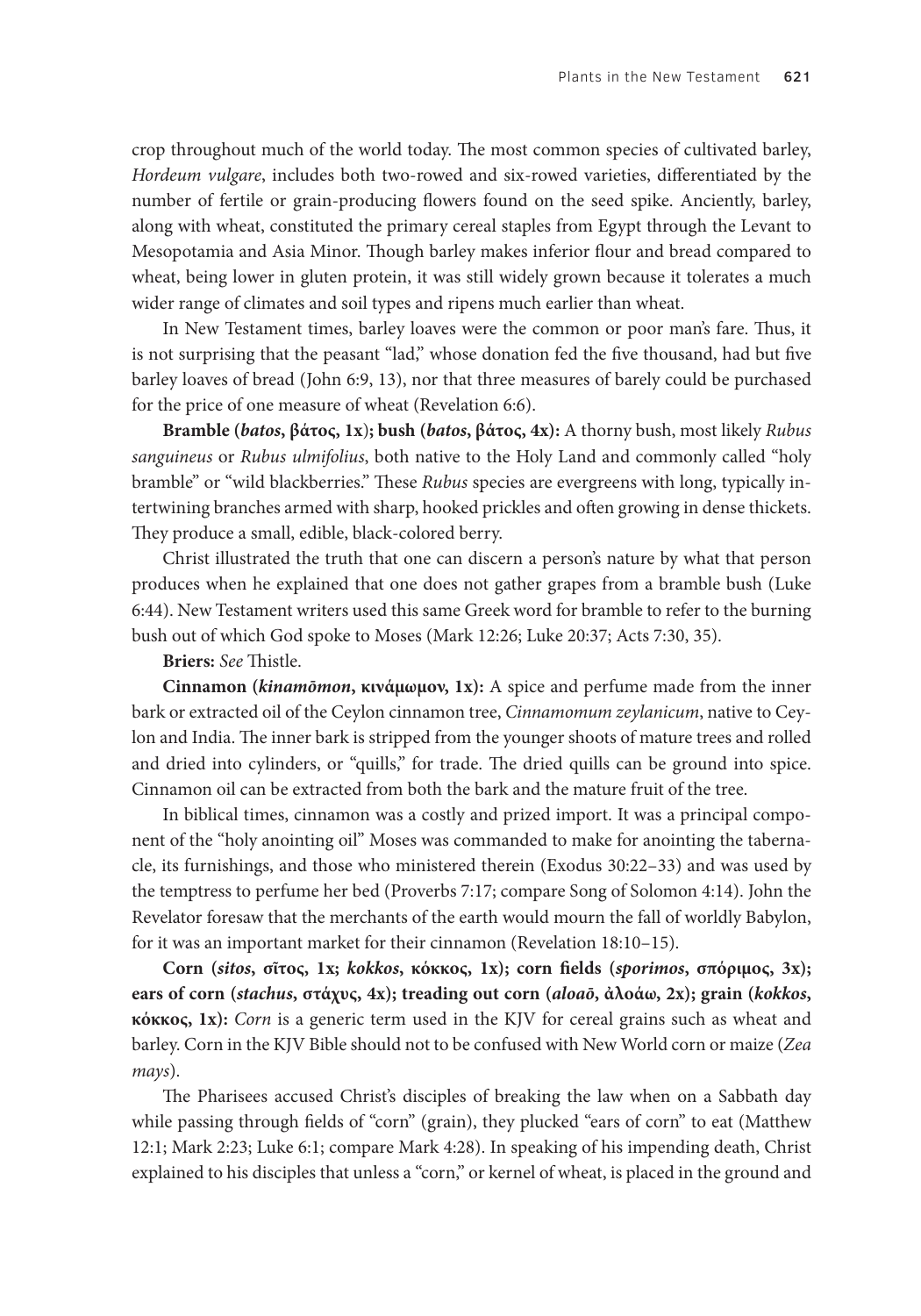crop throughout much of the world today. The most common species of cultivated barley, *Hordeum vulgare*, includes both two-rowed and six-rowed varieties, differentiated by the number of fertile or grain-producing flowers found on the seed spike. Anciently, barley, along with wheat, constituted the primary cereal staples from Egypt through the Levant to Mesopotamia and Asia Minor. Though barley makes inferior flour and bread compared to wheat, being lower in gluten protein, it was still widely grown because it tolerates a much wider range of climates and soil types and ripens much earlier than wheat.

In New Testament times, barley loaves were the common or poor man's fare. Thus, it is not surprising that the peasant "lad," whose donation fed the five thousand, had but five barley loaves of bread (John 6:9, 13), nor that three measures of barely could be purchased for the price of one measure of wheat (Revelation 6:6).

**Bramble (***batos***, βάτος, 1x**)**; bush (***batos***, βάτος, 4x):** A thorny bush, most likely *Rubus sanguineus* or *Rubus ulmifolius*, both native to the Holy Land and commonly called "holy bramble" or "wild blackberries." These *Rubus* species are evergreens with long, typically intertwining branches armed with sharp, hooked prickles and often growing in dense thickets. They produce a small, edible, black-colored berry.

Christ illustrated the truth that one can discern a person's nature by what that person produces when he explained that one does not gather grapes from a bramble bush (Luke 6:44). New Testament writers used this same Greek word for bramble to refer to the burning bush out of which God spoke to Moses (Mark 12:26; Luke 20:37; Acts 7:30, 35).

**Briers:** *See* Thistle.

**Cinnamon (***kinamōmon***, κινάμωμον, 1x):** A spice and perfume made from the inner bark or extracted oil of the Ceylon cinnamon tree, *Cinnamomum zeylanicum*, native to Ceylon and India. The inner bark is stripped from the younger shoots of mature trees and rolled and dried into cylinders, or "quills," for trade. The dried quills can be ground into spice. Cinnamon oil can be extracted from both the bark and the mature fruit of the tree.

In biblical times, cinnamon was a costly and prized import. It was a principal component of the "holy anointing oil" Moses was commanded to make for anointing the tabernacle, its furnishings, and those who ministered therein (Exodus 30:22–33) and was used by the temptress to perfume her bed (Proverbs 7:17; compare Song of Solomon 4:14). John the Revelator foresaw that the merchants of the earth would mourn the fall of worldly Babylon, for it was an important market for their cinnamon (Revelation 18:10–15).

**Corn (***sitos***, σῖτος, 1x;** *kokkos***, κόκκος, 1x); corn fields (***sporimos***, σπόριμος, 3x); ears of corn (***stachus***, στάχυς, 4x); treading out corn (***aloaō***, ἀλοάω, 2x); grain (***kokkos***, κόκκος, 1x):** *Corn* is a generic term used in the KJV for cereal grains such as wheat and barley. Corn in the KJV Bible should not to be confused with New World corn or maize (*Zea mays*).

The Pharisees accused Christ's disciples of breaking the law when on a Sabbath day while passing through fields of "corn" (grain), they plucked "ears of corn" to eat (Matthew 12:1; Mark 2:23; Luke 6:1; compare Mark 4:28). In speaking of his impending death, Christ explained to his disciples that unless a "corn," or kernel of wheat, is placed in the ground and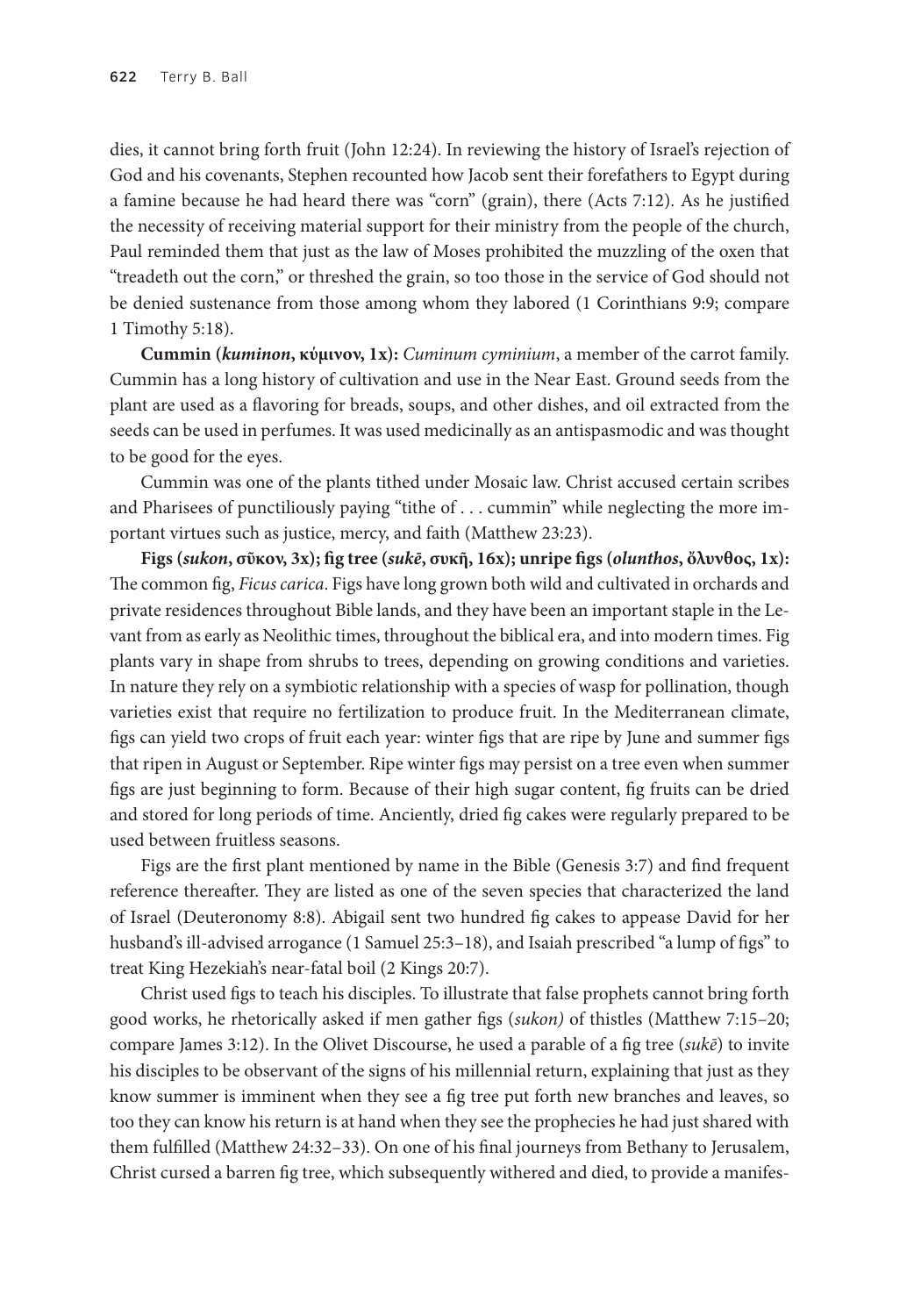dies, it cannot bring forth fruit (John 12:24). In reviewing the history of Israel's rejection of God and his covenants, Stephen recounted how Jacob sent their forefathers to Egypt during a famine because he had heard there was "corn" (grain), there (Acts 7:12). As he justified the necessity of receiving material support for their ministry from the people of the church, Paul reminded them that just as the law of Moses prohibited the muzzling of the oxen that "treadeth out the corn," or threshed the grain, so too those in the service of God should not be denied sustenance from those among whom they labored (1 Corinthians 9:9; compare 1 Timothy 5:18).

**Cummin (***kuminon***, κύμινον, 1x):** *Cuminum cyminium*, a member of the carrot family. Cummin has a long history of cultivation and use in the Near East. Ground seeds from the plant are used as a flavoring for breads, soups, and other dishes, and oil extracted from the seeds can be used in perfumes. It was used medicinally as an antispasmodic and was thought to be good for the eyes.

Cummin was one of the plants tithed under Mosaic law. Christ accused certain scribes and Pharisees of punctiliously paying "tithe of . . . cummin" while neglecting the more important virtues such as justice, mercy, and faith (Matthew 23:23).

**Figs (***sukon***, σῦκον, 3x); fig tree (***sukē***, συκῆ, 16x); unripe figs (***olunthos***, ὄλυνθος, 1x):** The common fig, *Ficus carica*. Figs have long grown both wild and cultivated in orchards and private residences throughout Bible lands, and they have been an important staple in the Levant from as early as Neolithic times, throughout the biblical era, and into modern times. Fig plants vary in shape from shrubs to trees, depending on growing conditions and varieties. In nature they rely on a symbiotic relationship with a species of wasp for pollination, though varieties exist that require no fertilization to produce fruit. In the Mediterranean climate, figs can yield two crops of fruit each year: winter figs that are ripe by June and summer figs that ripen in August or September. Ripe winter figs may persist on a tree even when summer figs are just beginning to form. Because of their high sugar content, fig fruits can be dried and stored for long periods of time. Anciently, dried fig cakes were regularly prepared to be used between fruitless seasons.

Figs are the first plant mentioned by name in the Bible (Genesis 3:7) and find frequent reference thereafter. They are listed as one of the seven species that characterized the land of Israel (Deuteronomy 8:8). Abigail sent two hundred fig cakes to appease David for her husband's ill-advised arrogance (1 Samuel 25:3–18), and Isaiah prescribed "a lump of figs" to treat King Hezekiah's near-fatal boil (2 Kings 20:7).

Christ used figs to teach his disciples. To illustrate that false prophets cannot bring forth good works, he rhetorically asked if men gather figs (*sukon)* of thistles (Matthew 7:15–20; compare James 3:12). In the Olivet Discourse, he used a parable of a fig tree (*sukē*) to invite his disciples to be observant of the signs of his millennial return, explaining that just as they know summer is imminent when they see a fig tree put forth new branches and leaves, so too they can know his return is at hand when they see the prophecies he had just shared with them fulfilled (Matthew 24:32–33). On one of his final journeys from Bethany to Jerusalem, Christ cursed a barren fig tree, which subsequently withered and died, to provide a manifes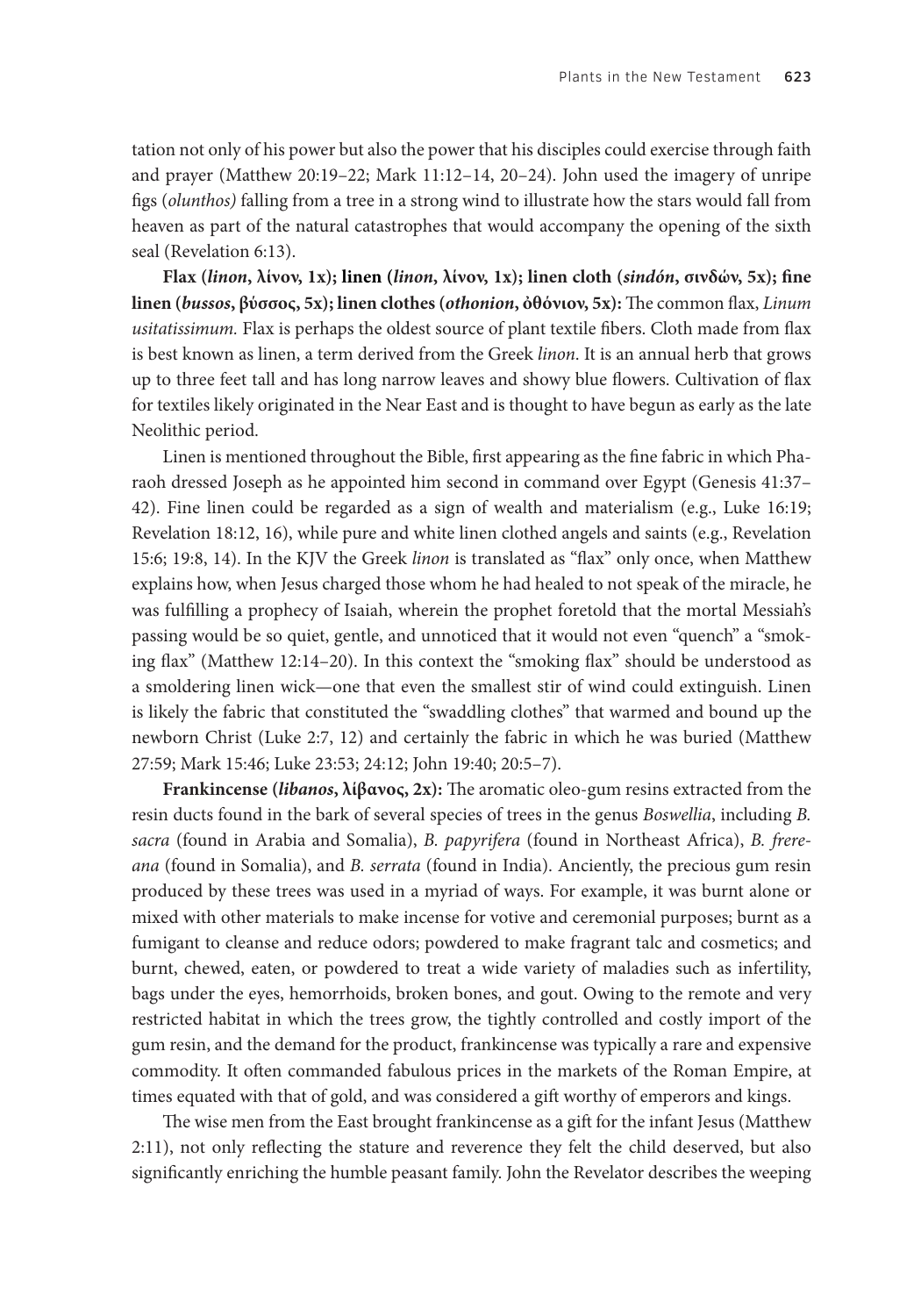tation not only of his power but also the power that his disciples could exercise through faith and prayer (Matthew 20:19–22; Mark 11:12–14, 20–24). John used the imagery of unripe figs (*olunthos)* falling from a tree in a strong wind to illustrate how the stars would fall from heaven as part of the natural catastrophes that would accompany the opening of the sixth seal (Revelation 6:13).

**Flax (***linon***, λίνον, 1x); linen (***linon***, λίνον, 1x); linen cloth (***sindón***, σινδών, 5x); fine linen (***bussos***, βύσσος, 5x); linen clothes (***othonion***, ὀθόνιον, 5x):** The common flax, *Linum usitatissimum.* Flax is perhaps the oldest source of plant textile fibers. Cloth made from flax is best known as linen, a term derived from the Greek *linon*. It is an annual herb that grows up to three feet tall and has long narrow leaves and showy blue flowers. Cultivation of flax for textiles likely originated in the Near East and is thought to have begun as early as the late Neolithic period.

Linen is mentioned throughout the Bible, first appearing as the fine fabric in which Pharaoh dressed Joseph as he appointed him second in command over Egypt (Genesis 41:37– 42). Fine linen could be regarded as a sign of wealth and materialism (e.g., Luke 16:19; Revelation 18:12, 16), while pure and white linen clothed angels and saints (e.g., Revelation 15:6; 19:8, 14). In the KJV the Greek *linon* is translated as "flax" only once, when Matthew explains how, when Jesus charged those whom he had healed to not speak of the miracle, he was fulfilling a prophecy of Isaiah, wherein the prophet foretold that the mortal Messiah's passing would be so quiet, gentle, and unnoticed that it would not even "quench" a "smoking flax" (Matthew 12:14–20). In this context the "smoking flax" should be understood as a smoldering linen wick—one that even the smallest stir of wind could extinguish. Linen is likely the fabric that constituted the "swaddling clothes" that warmed and bound up the newborn Christ (Luke 2:7, 12) and certainly the fabric in which he was buried (Matthew 27:59; Mark 15:46; Luke 23:53; 24:12; John 19:40; 20:5–7).

**Frankincense (***libanos***, λίβανος, 2x):** The aromatic oleo-gum resins extracted from the resin ducts found in the bark of several species of trees in the genus *Boswellia*, including *B. sacra* (found in Arabia and Somalia), *B. papyrifera* (found in Northeast Africa), *B. frereana* (found in Somalia), and *B. serrata* (found in India). Anciently, the precious gum resin produced by these trees was used in a myriad of ways. For example, it was burnt alone or mixed with other materials to make incense for votive and ceremonial purposes; burnt as a fumigant to cleanse and reduce odors; powdered to make fragrant talc and cosmetics; and burnt, chewed, eaten, or powdered to treat a wide variety of maladies such as infertility, bags under the eyes, hemorrhoids, broken bones, and gout. Owing to the remote and very restricted habitat in which the trees grow, the tightly controlled and costly import of the gum resin, and the demand for the product, frankincense was typically a rare and expensive commodity. It often commanded fabulous prices in the markets of the Roman Empire, at times equated with that of gold, and was considered a gift worthy of emperors and kings.

The wise men from the East brought frankincense as a gift for the infant Jesus (Matthew 2:11), not only reflecting the stature and reverence they felt the child deserved, but also significantly enriching the humble peasant family. John the Revelator describes the weeping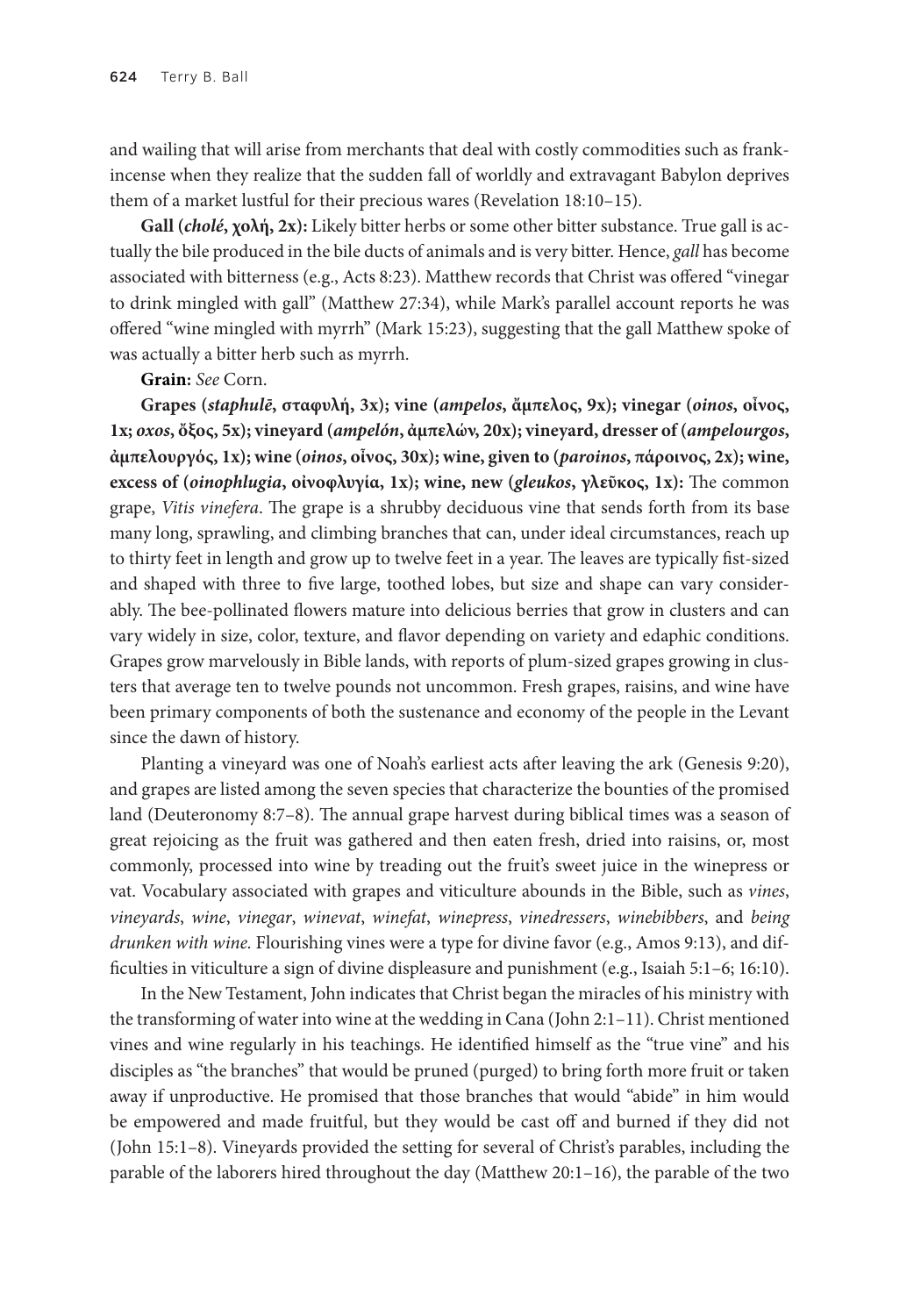and wailing that will arise from merchants that deal with costly commodities such as frankincense when they realize that the sudden fall of worldly and extravagant Babylon deprives them of a market lustful for their precious wares (Revelation 18:10–15).

**Gall (***cholé***, χολή, 2x):** Likely bitter herbs or some other bitter substance. True gall is actually the bile produced in the bile ducts of animals and is very bitter. Hence, *gall* has become associated with bitterness (e.g., Acts 8:23). Matthew records that Christ was offered "vinegar to drink mingled with gall" (Matthew 27:34), while Mark's parallel account reports he was offered "wine mingled with myrrh" (Mark 15:23), suggesting that the gall Matthew spoke of was actually a bitter herb such as myrrh.

#### **Grain:** *See* Corn.

**Grapes (***staphulē***, σταφυλή, 3x); vine (***ampelos***, ἄμπελος, 9x); vinegar (***oinos***, οἶνος, 1x;** *oxos***, ὄξος, 5x); vineyard (***ampelón***, ἀμπελών, 20x); vineyard, dresser of (***ampelourgos***, ἀμπελουργός, 1x); wine (***oinos***, οἶνος, 30x); wine, given to (***paroinos***, πάροινος, 2x); wine, excess of (***oinophlugia***, οἰνοφλυγία, 1x); wine, new (***gleukos***, γλεῦκος, 1x):** The common grape, *Vitis vinefera*. The grape is a shrubby deciduous vine that sends forth from its base many long, sprawling, and climbing branches that can, under ideal circumstances, reach up to thirty feet in length and grow up to twelve feet in a year. The leaves are typically fist-sized and shaped with three to five large, toothed lobes, but size and shape can vary considerably. The bee-pollinated flowers mature into delicious berries that grow in clusters and can vary widely in size, color, texture, and flavor depending on variety and edaphic conditions. Grapes grow marvelously in Bible lands, with reports of plum-sized grapes growing in clusters that average ten to twelve pounds not uncommon. Fresh grapes, raisins, and wine have been primary components of both the sustenance and economy of the people in the Levant since the dawn of history.

Planting a vineyard was one of Noah's earliest acts after leaving the ark (Genesis 9:20), and grapes are listed among the seven species that characterize the bounties of the promised land (Deuteronomy 8:7–8). The annual grape harvest during biblical times was a season of great rejoicing as the fruit was gathered and then eaten fresh, dried into raisins, or, most commonly, processed into wine by treading out the fruit's sweet juice in the winepress or vat. Vocabulary associated with grapes and viticulture abounds in the Bible, such as *vines*, *vineyards*, *wine*, *vinegar*, *winevat*, *winefat*, *winepress*, *vinedressers*, *winebibbers*, and *being drunken with wine.* Flourishing vines were a type for divine favor (e.g., Amos 9:13), and difficulties in viticulture a sign of divine displeasure and punishment (e.g., Isaiah 5:1–6; 16:10).

In the New Testament, John indicates that Christ began the miracles of his ministry with the transforming of water into wine at the wedding in Cana (John 2:1–11). Christ mentioned vines and wine regularly in his teachings. He identified himself as the "true vine" and his disciples as "the branches" that would be pruned (purged) to bring forth more fruit or taken away if unproductive. He promised that those branches that would "abide" in him would be empowered and made fruitful, but they would be cast off and burned if they did not (John 15:1–8). Vineyards provided the setting for several of Christ's parables, including the parable of the laborers hired throughout the day (Matthew 20:1–16), the parable of the two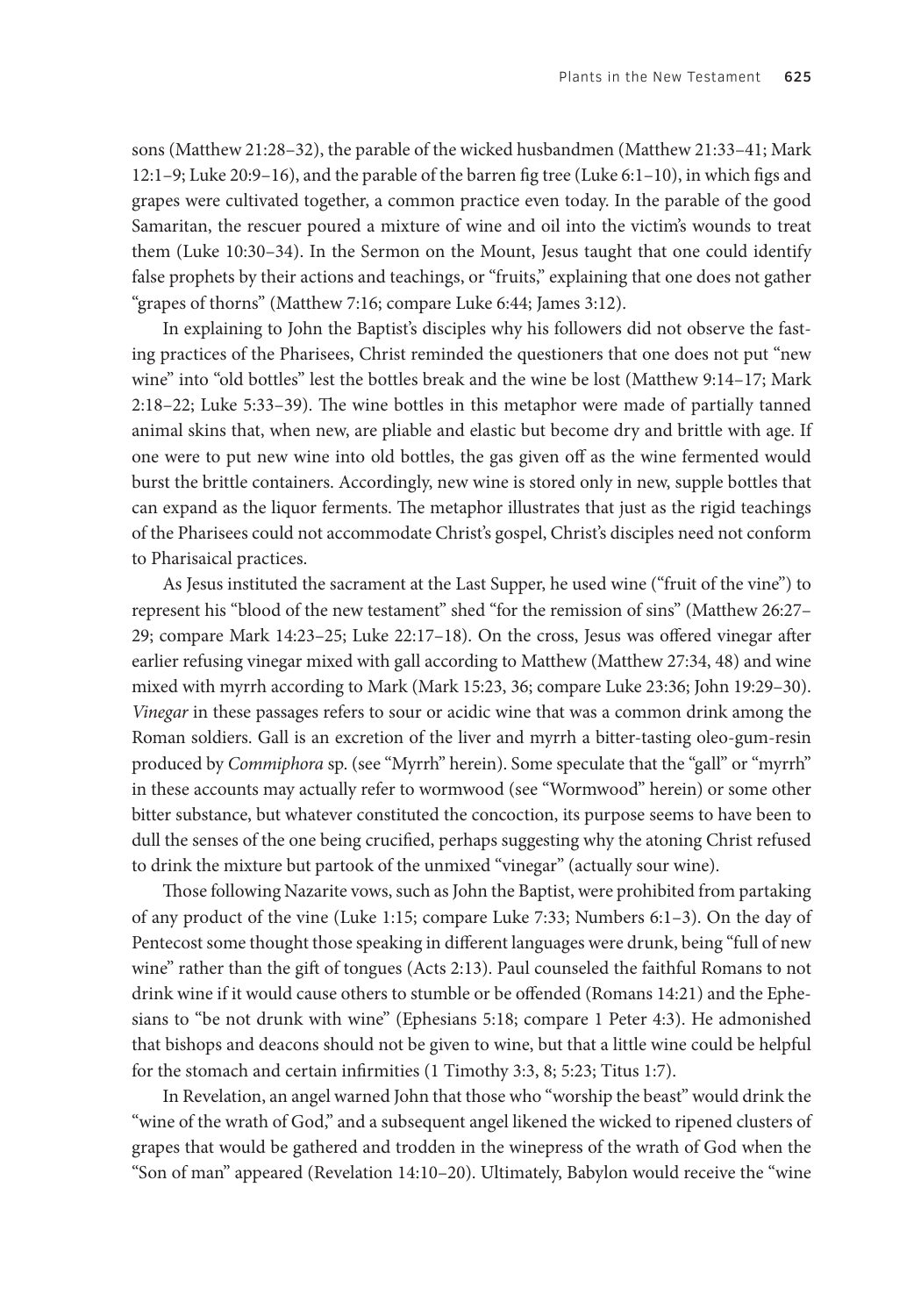sons (Matthew 21:28–32), the parable of the wicked husbandmen (Matthew 21:33–41; Mark 12:1–9; Luke 20:9–16), and the parable of the barren fig tree (Luke 6:1–10), in which figs and grapes were cultivated together, a common practice even today. In the parable of the good Samaritan, the rescuer poured a mixture of wine and oil into the victim's wounds to treat them (Luke 10:30–34). In the Sermon on the Mount, Jesus taught that one could identify false prophets by their actions and teachings, or "fruits," explaining that one does not gather "grapes of thorns" (Matthew 7:16; compare Luke 6:44; James 3:12).

In explaining to John the Baptist's disciples why his followers did not observe the fasting practices of the Pharisees, Christ reminded the questioners that one does not put "new wine" into "old bottles" lest the bottles break and the wine be lost (Matthew 9:14–17; Mark 2:18–22; Luke 5:33–39). The wine bottles in this metaphor were made of partially tanned animal skins that, when new, are pliable and elastic but become dry and brittle with age. If one were to put new wine into old bottles, the gas given off as the wine fermented would burst the brittle containers. Accordingly, new wine is stored only in new, supple bottles that can expand as the liquor ferments. The metaphor illustrates that just as the rigid teachings of the Pharisees could not accommodate Christ's gospel, Christ's disciples need not conform to Pharisaical practices.

As Jesus instituted the sacrament at the Last Supper, he used wine ("fruit of the vine") to represent his "blood of the new testament" shed "for the remission of sins" (Matthew 26:27– 29; compare Mark 14:23–25; Luke 22:17–18). On the cross, Jesus was offered vinegar after earlier refusing vinegar mixed with gall according to Matthew (Matthew 27:34, 48) and wine mixed with myrrh according to Mark (Mark 15:23, 36; compare Luke 23:36; John 19:29–30). *Vinegar* in these passages refers to sour or acidic wine that was a common drink among the Roman soldiers. Gall is an excretion of the liver and myrrh a bitter-tasting oleo-gum-resin produced by *Commiphora* sp. (see "Myrrh" herein). Some speculate that the "gall" or "myrrh" in these accounts may actually refer to wormwood (see "Wormwood" herein) or some other bitter substance, but whatever constituted the concoction, its purpose seems to have been to dull the senses of the one being crucified, perhaps suggesting why the atoning Christ refused to drink the mixture but partook of the unmixed "vinegar" (actually sour wine).

Those following Nazarite vows, such as John the Baptist, were prohibited from partaking of any product of the vine (Luke 1:15; compare Luke 7:33; Numbers 6:1–3). On the day of Pentecost some thought those speaking in different languages were drunk, being "full of new wine" rather than the gift of tongues (Acts 2:13). Paul counseled the faithful Romans to not drink wine if it would cause others to stumble or be offended (Romans 14:21) and the Ephesians to "be not drunk with wine" (Ephesians 5:18; compare 1 Peter 4:3). He admonished that bishops and deacons should not be given to wine, but that a little wine could be helpful for the stomach and certain infirmities (1 Timothy 3:3, 8; 5:23; Titus 1:7).

In Revelation, an angel warned John that those who "worship the beast" would drink the "wine of the wrath of God," and a subsequent angel likened the wicked to ripened clusters of grapes that would be gathered and trodden in the winepress of the wrath of God when the "Son of man" appeared (Revelation 14:10–20). Ultimately, Babylon would receive the "wine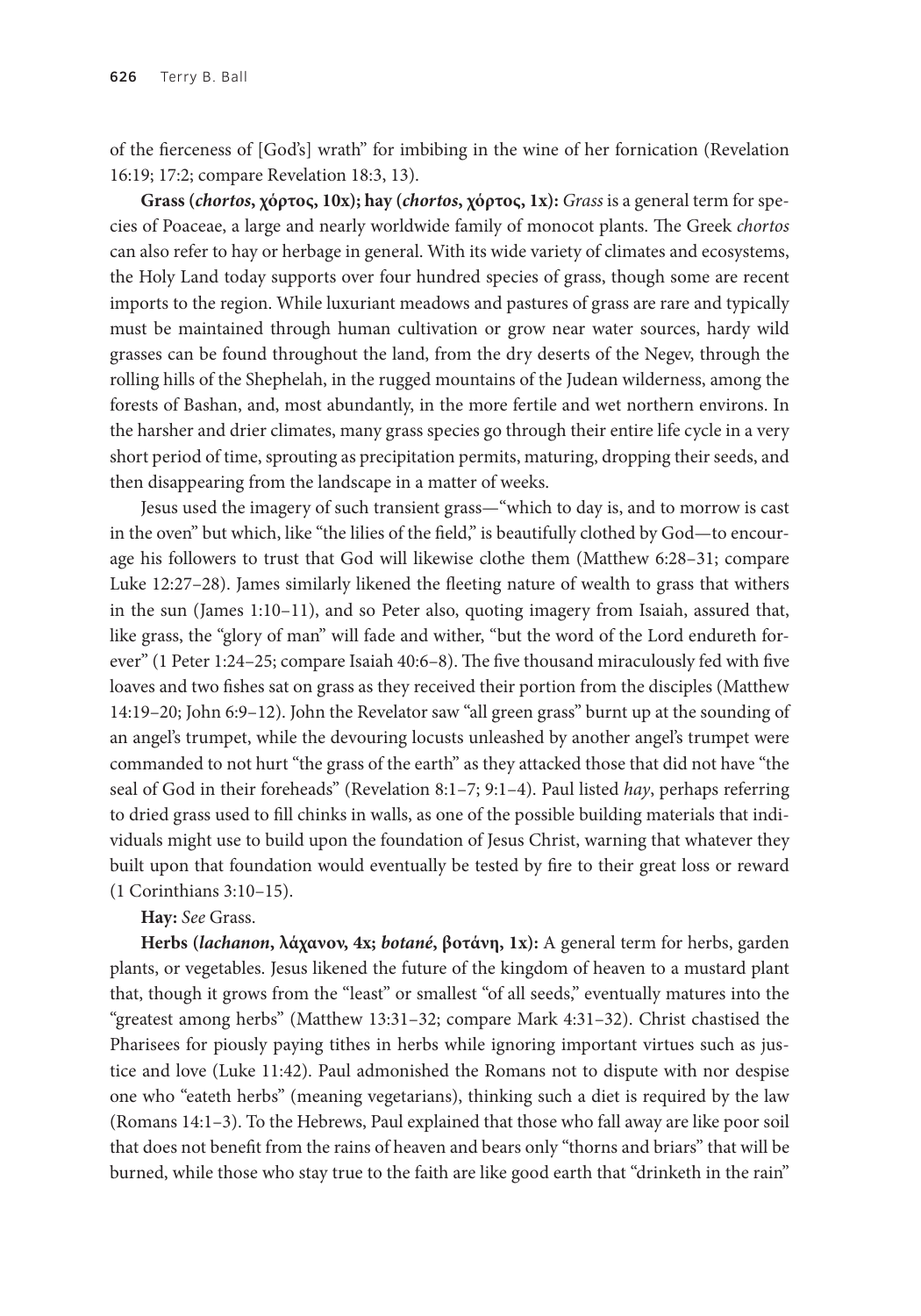of the fierceness of [God's] wrath" for imbibing in the wine of her fornication (Revelation 16:19; 17:2; compare Revelation 18:3, 13).

**Grass (***chortos***, χόρτος, 10x); hay (***chortos***, χόρτος, 1x):** *Grass* is a general term for species of Poaceae, a large and nearly worldwide family of monocot plants. The Greek *chortos* can also refer to hay or herbage in general. With its wide variety of climates and ecosystems, the Holy Land today supports over four hundred species of grass, though some are recent imports to the region. While luxuriant meadows and pastures of grass are rare and typically must be maintained through human cultivation or grow near water sources, hardy wild grasses can be found throughout the land, from the dry deserts of the Negev, through the rolling hills of the Shephelah, in the rugged mountains of the Judean wilderness, among the forests of Bashan, and, most abundantly, in the more fertile and wet northern environs. In the harsher and drier climates, many grass species go through their entire life cycle in a very short period of time, sprouting as precipitation permits, maturing, dropping their seeds, and then disappearing from the landscape in a matter of weeks.

Jesus used the imagery of such transient grass—"which to day is, and to morrow is cast in the oven" but which, like "the lilies of the field," is beautifully clothed by God—to encourage his followers to trust that God will likewise clothe them (Matthew 6:28–31; compare Luke 12:27–28). James similarly likened the fleeting nature of wealth to grass that withers in the sun (James 1:10–11), and so Peter also, quoting imagery from Isaiah, assured that, like grass, the "glory of man" will fade and wither, "but the word of the Lord endureth forever" (1 Peter 1:24–25; compare Isaiah 40:6–8). The five thousand miraculously fed with five loaves and two fishes sat on grass as they received their portion from the disciples (Matthew 14:19–20; John 6:9–12). John the Revelator saw "all green grass" burnt up at the sounding of an angel's trumpet, while the devouring locusts unleashed by another angel's trumpet were commanded to not hurt "the grass of the earth" as they attacked those that did not have "the seal of God in their foreheads" (Revelation 8:1–7; 9:1–4). Paul listed *hay*, perhaps referring to dried grass used to fill chinks in walls, as one of the possible building materials that individuals might use to build upon the foundation of Jesus Christ, warning that whatever they built upon that foundation would eventually be tested by fire to their great loss or reward (1 Corinthians 3:10–15).

**Hay:** *See* Grass.

**Herbs (***lachanon***, λάχανον, 4x;** *botané***, βοτάνη, 1x):** A general term for herbs, garden plants, or vegetables. Jesus likened the future of the kingdom of heaven to a mustard plant that, though it grows from the "least" or smallest "of all seeds," eventually matures into the "greatest among herbs" (Matthew 13:31–32; compare Mark 4:31–32). Christ chastised the Pharisees for piously paying tithes in herbs while ignoring important virtues such as justice and love (Luke 11:42). Paul admonished the Romans not to dispute with nor despise one who "eateth herbs" (meaning vegetarians), thinking such a diet is required by the law (Romans 14:1–3). To the Hebrews, Paul explained that those who fall away are like poor soil that does not benefit from the rains of heaven and bears only "thorns and briars" that will be burned, while those who stay true to the faith are like good earth that "drinketh in the rain"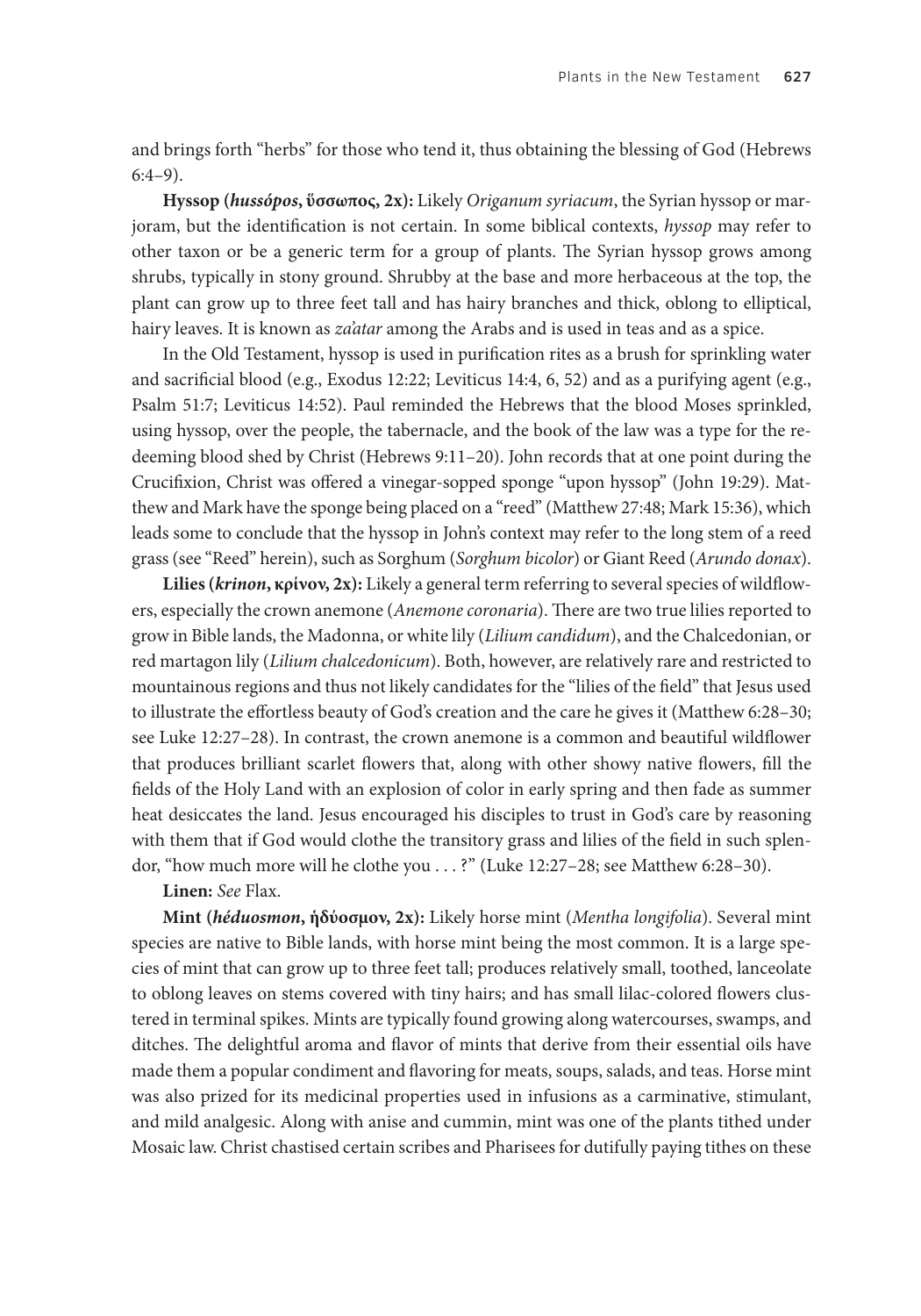and brings forth "herbs" for those who tend it, thus obtaining the blessing of God (Hebrews 6:4–9).

**Hyssop (***hussópos***, ὕσσωπος, 2x):** Likely *Origanum syriacum*, the Syrian hyssop or marjoram, but the identification is not certain. In some biblical contexts, *hyssop* may refer to other taxon or be a generic term for a group of plants. The Syrian hyssop grows among shrubs, typically in stony ground. Shrubby at the base and more herbaceous at the top, the plant can grow up to three feet tall and has hairy branches and thick, oblong to elliptical, hairy leaves. It is known as *za'atar* among the Arabs and is used in teas and as a spice.

In the Old Testament, hyssop is used in purification rites as a brush for sprinkling water and sacrificial blood (e.g., Exodus 12:22; Leviticus 14:4, 6, 52) and as a purifying agent (e.g., Psalm 51:7; Leviticus 14:52). Paul reminded the Hebrews that the blood Moses sprinkled, using hyssop, over the people, the tabernacle, and the book of the law was a type for the redeeming blood shed by Christ (Hebrews 9:11–20). John records that at one point during the Crucifixion, Christ was offered a vinegar-sopped sponge "upon hyssop" (John 19:29). Matthew and Mark have the sponge being placed on a "reed" (Matthew 27:48; Mark 15:36), which leads some to conclude that the hyssop in John's context may refer to the long stem of a reed grass (see "Reed" herein), such as Sorghum (*Sorghum bicolor*) or Giant Reed (*Arundo donax*).

**Lilies (***krinon***, κρίνον, 2x):** Likely a general term referring to several species of wildflowers, especially the crown anemone (*Anemone coronaria*). There are two true lilies reported to grow in Bible lands, the Madonna, or white lily (*Lilium candidum*), and the Chalcedonian, or red martagon lily (*Lilium chalcedonicum*). Both, however, are relatively rare and restricted to mountainous regions and thus not likely candidates for the "lilies of the field" that Jesus used to illustrate the effortless beauty of God's creation and the care he gives it (Matthew 6:28–30; see Luke 12:27–28). In contrast, the crown anemone is a common and beautiful wildflower that produces brilliant scarlet flowers that, along with other showy native flowers, fill the fields of the Holy Land with an explosion of color in early spring and then fade as summer heat desiccates the land. Jesus encouraged his disciples to trust in God's care by reasoning with them that if God would clothe the transitory grass and lilies of the field in such splendor, "how much more will he clothe you . . . ?" (Luke 12:27–28; see Matthew 6:28–30).

**Linen:** *See* Flax.

**Mint (***héduosmon***, ἡδύοσμον, 2x):** Likely horse mint (*Mentha longifolia*). Several mint species are native to Bible lands, with horse mint being the most common. It is a large species of mint that can grow up to three feet tall; produces relatively small, toothed, lanceolate to oblong leaves on stems covered with tiny hairs; and has small lilac-colored flowers clustered in terminal spikes. Mints are typically found growing along watercourses, swamps, and ditches. The delightful aroma and flavor of mints that derive from their essential oils have made them a popular condiment and flavoring for meats, soups, salads, and teas. Horse mint was also prized for its medicinal properties used in infusions as a carminative, stimulant, and mild analgesic. Along with anise and cummin, mint was one of the plants tithed under Mosaic law. Christ chastised certain scribes and Pharisees for dutifully paying tithes on these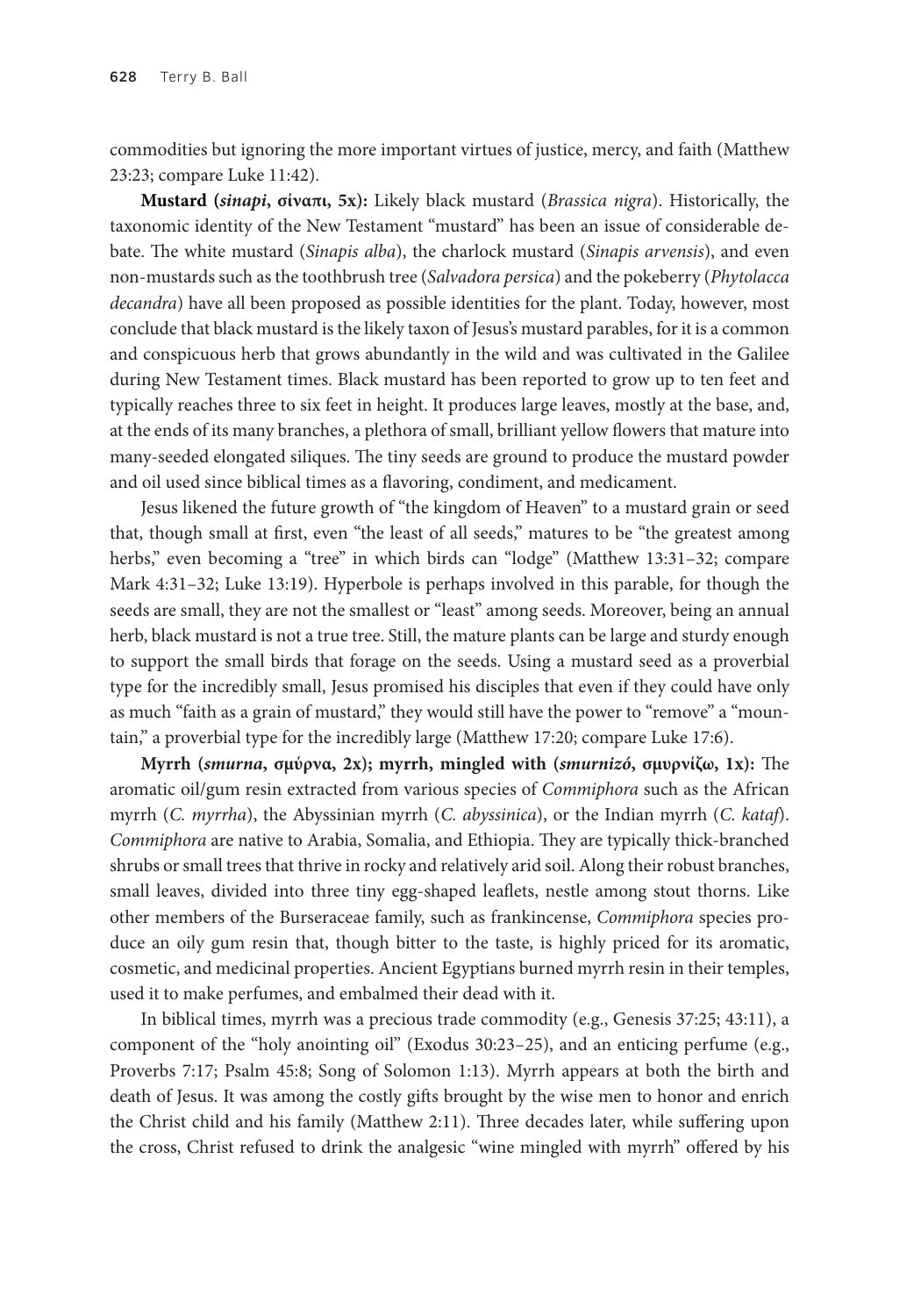commodities but ignoring the more important virtues of justice, mercy, and faith (Matthew 23:23; compare Luke 11:42).

**Mustard (***sinapi***, σίναπι, 5x):** Likely black mustard (*Brassica nigra*). Historically, the taxonomic identity of the New Testament "mustard" has been an issue of considerable debate. The white mustard (*Sinapis alba*), the charlock mustard (*Sinapis arvensis*), and even non-mustards such as the toothbrush tree (*Salvadora persica*) and the pokeberry (*Phytolacca decandra*) have all been proposed as possible identities for the plant. Today, however, most conclude that black mustard is the likely taxon of Jesus's mustard parables, for it is a common and conspicuous herb that grows abundantly in the wild and was cultivated in the Galilee during New Testament times. Black mustard has been reported to grow up to ten feet and typically reaches three to six feet in height. It produces large leaves, mostly at the base, and, at the ends of its many branches, a plethora of small, brilliant yellow flowers that mature into many-seeded elongated siliques. The tiny seeds are ground to produce the mustard powder and oil used since biblical times as a flavoring, condiment, and medicament.

Jesus likened the future growth of "the kingdom of Heaven" to a mustard grain or seed that, though small at first, even "the least of all seeds," matures to be "the greatest among herbs," even becoming a "tree" in which birds can "lodge" (Matthew 13:31–32; compare Mark 4:31–32; Luke 13:19). Hyperbole is perhaps involved in this parable, for though the seeds are small, they are not the smallest or "least" among seeds. Moreover, being an annual herb, black mustard is not a true tree. Still, the mature plants can be large and sturdy enough to support the small birds that forage on the seeds. Using a mustard seed as a proverbial type for the incredibly small, Jesus promised his disciples that even if they could have only as much "faith as a grain of mustard," they would still have the power to "remove" a "mountain," a proverbial type for the incredibly large (Matthew 17:20; compare Luke 17:6).

**Myrrh (***smurna***, σμύρνα, 2x); myrrh, mingled with (***smurnizó***, σμυρνίζω, 1x):** The aromatic oil/gum resin extracted from various species of *Commiphora* such as the African myrrh (*C. myrrha*), the Abyssinian myrrh (*C. abyssinica*), or the Indian myrrh (*C. kataf*). *Commiphora* are native to Arabia, Somalia, and Ethiopia. They are typically thick-branched shrubs or small trees that thrive in rocky and relatively arid soil. Along their robust branches, small leaves, divided into three tiny egg-shaped leaflets, nestle among stout thorns. Like other members of the Burseraceae family, such as frankincense, *Commiphora* species produce an oily gum resin that, though bitter to the taste, is highly priced for its aromatic, cosmetic, and medicinal properties. Ancient Egyptians burned myrrh resin in their temples, used it to make perfumes, and embalmed their dead with it.

In biblical times, myrrh was a precious trade commodity (e.g., Genesis 37:25; 43:11), a component of the "holy anointing oil" (Exodus 30:23–25), and an enticing perfume (e.g., Proverbs 7:17; Psalm 45:8; Song of Solomon 1:13). Myrrh appears at both the birth and death of Jesus. It was among the costly gifts brought by the wise men to honor and enrich the Christ child and his family (Matthew 2:11). Three decades later, while suffering upon the cross, Christ refused to drink the analgesic "wine mingled with myrrh" offered by his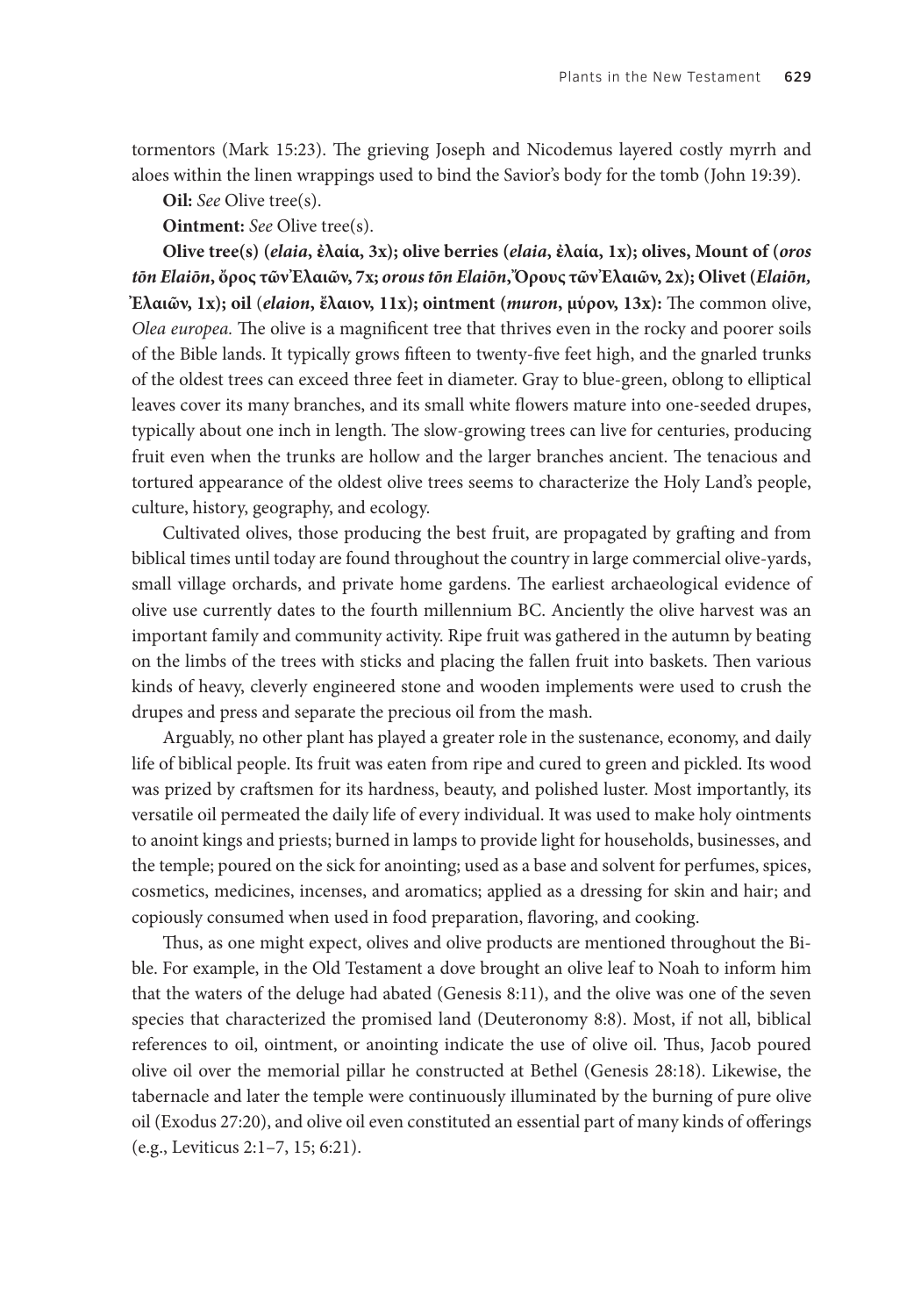tormentors (Mark 15:23). The grieving Joseph and Nicodemus layered costly myrrh and aloes within the linen wrappings used to bind the Savior's body for the tomb (John 19:39).

**Oil:** *See* Olive tree(s).

**Ointment:** *See* Olive tree(s).

**Olive tree(s) (***elaia***, ἐλαία, 3x); olive berries (***elaia***, ἐλαία, 1x); olives, Mount of (***oros tōn Elaiōn***, ὄρος τῶν Ἐλαιῶν, 7x;** *orous tōn Elaiōn***, Ὄρους τῶν Ἐλαιῶν, 2x); Olivet (***Elaiōn,* **Ἐλαιῶν, 1x); oil** (*elaion***, ἔλαιον, 11x); ointment (***muron***, μύρον, 13x):** The common olive, *Olea europea.* The olive is a magnificent tree that thrives even in the rocky and poorer soils of the Bible lands. It typically grows fifteen to twenty-five feet high, and the gnarled trunks of the oldest trees can exceed three feet in diameter. Gray to blue-green, oblong to elliptical leaves cover its many branches, and its small white flowers mature into one-seeded drupes, typically about one inch in length. The slow-growing trees can live for centuries, producing fruit even when the trunks are hollow and the larger branches ancient. The tenacious and tortured appearance of the oldest olive trees seems to characterize the Holy Land's people, culture, history, geography, and ecology.

Cultivated olives, those producing the best fruit, are propagated by grafting and from biblical times until today are found throughout the country in large commercial olive-yards, small village orchards, and private home gardens. The earliest archaeological evidence of olive use currently dates to the fourth millennium BC. Anciently the olive harvest was an important family and community activity. Ripe fruit was gathered in the autumn by beating on the limbs of the trees with sticks and placing the fallen fruit into baskets. Then various kinds of heavy, cleverly engineered stone and wooden implements were used to crush the drupes and press and separate the precious oil from the mash.

Arguably, no other plant has played a greater role in the sustenance, economy, and daily life of biblical people. Its fruit was eaten from ripe and cured to green and pickled. Its wood was prized by craftsmen for its hardness, beauty, and polished luster. Most importantly, its versatile oil permeated the daily life of every individual. It was used to make holy ointments to anoint kings and priests; burned in lamps to provide light for households, businesses, and the temple; poured on the sick for anointing; used as a base and solvent for perfumes, spices, cosmetics, medicines, incenses, and aromatics; applied as a dressing for skin and hair; and copiously consumed when used in food preparation, flavoring, and cooking.

Thus, as one might expect, olives and olive products are mentioned throughout the Bible. For example, in the Old Testament a dove brought an olive leaf to Noah to inform him that the waters of the deluge had abated (Genesis 8:11), and the olive was one of the seven species that characterized the promised land (Deuteronomy 8:8). Most, if not all, biblical references to oil, ointment, or anointing indicate the use of olive oil. Thus, Jacob poured olive oil over the memorial pillar he constructed at Bethel (Genesis 28:18). Likewise, the tabernacle and later the temple were continuously illuminated by the burning of pure olive oil (Exodus 27:20), and olive oil even constituted an essential part of many kinds of offerings (e.g., Leviticus 2:1–7, 15; 6:21).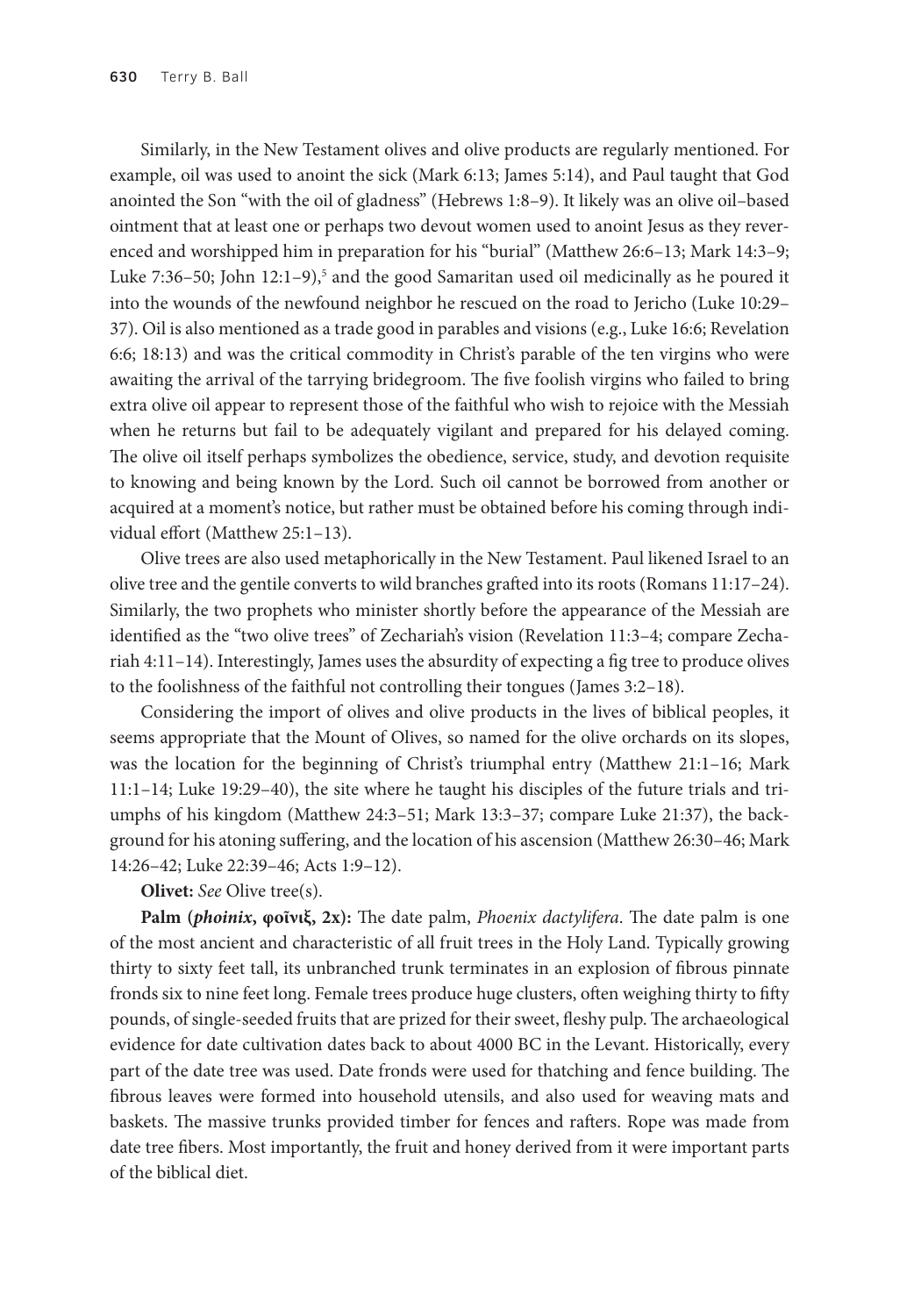Similarly, in the New Testament olives and olive products are regularly mentioned. For example, oil was used to anoint the sick (Mark 6:13; James 5:14), and Paul taught that God anointed the Son "with the oil of gladness" (Hebrews 1:8–9). It likely was an olive oil–based ointment that at least one or perhaps two devout women used to anoint Jesus as they reverenced and worshipped him in preparation for his "burial" (Matthew 26:6–13; Mark 14:3–9; Luke 7:36–50; John 12:1–9),<sup>5</sup> and the good Samaritan used oil medicinally as he poured it into the wounds of the newfound neighbor he rescued on the road to Jericho (Luke 10:29– 37). Oil is also mentioned as a trade good in parables and visions (e.g., Luke 16:6; Revelation 6:6; 18:13) and was the critical commodity in Christ's parable of the ten virgins who were awaiting the arrival of the tarrying bridegroom. The five foolish virgins who failed to bring extra olive oil appear to represent those of the faithful who wish to rejoice with the Messiah when he returns but fail to be adequately vigilant and prepared for his delayed coming. The olive oil itself perhaps symbolizes the obedience, service, study, and devotion requisite to knowing and being known by the Lord. Such oil cannot be borrowed from another or acquired at a moment's notice, but rather must be obtained before his coming through individual effort (Matthew 25:1–13).

Olive trees are also used metaphorically in the New Testament. Paul likened Israel to an olive tree and the gentile converts to wild branches grafted into its roots (Romans 11:17–24). Similarly, the two prophets who minister shortly before the appearance of the Messiah are identified as the "two olive trees" of Zechariah's vision (Revelation 11:3–4; compare Zechariah 4:11–14). Interestingly, James uses the absurdity of expecting a fig tree to produce olives to the foolishness of the faithful not controlling their tongues (James 3:2–18).

Considering the import of olives and olive products in the lives of biblical peoples, it seems appropriate that the Mount of Olives, so named for the olive orchards on its slopes, was the location for the beginning of Christ's triumphal entry (Matthew 21:1–16; Mark 11:1–14; Luke 19:29–40), the site where he taught his disciples of the future trials and triumphs of his kingdom (Matthew 24:3–51; Mark 13:3–37; compare Luke 21:37), the background for his atoning suffering, and the location of his ascension (Matthew 26:30–46; Mark 14:26–42; Luke 22:39–46; Acts 1:9–12).

**Olivet:** *See* Olive tree(s).

**Palm (***phoinix***, φοῖνιξ, 2x):** The date palm, *Phoenix dactylifera*. The date palm is one of the most ancient and characteristic of all fruit trees in the Holy Land. Typically growing thirty to sixty feet tall, its unbranched trunk terminates in an explosion of fibrous pinnate fronds six to nine feet long. Female trees produce huge clusters, often weighing thirty to fifty pounds, of single-seeded fruits that are prized for their sweet, fleshy pulp. The archaeological evidence for date cultivation dates back to about 4000 BC in the Levant. Historically, every part of the date tree was used. Date fronds were used for thatching and fence building. The fibrous leaves were formed into household utensils, and also used for weaving mats and baskets. The massive trunks provided timber for fences and rafters. Rope was made from date tree fibers. Most importantly, the fruit and honey derived from it were important parts of the biblical diet.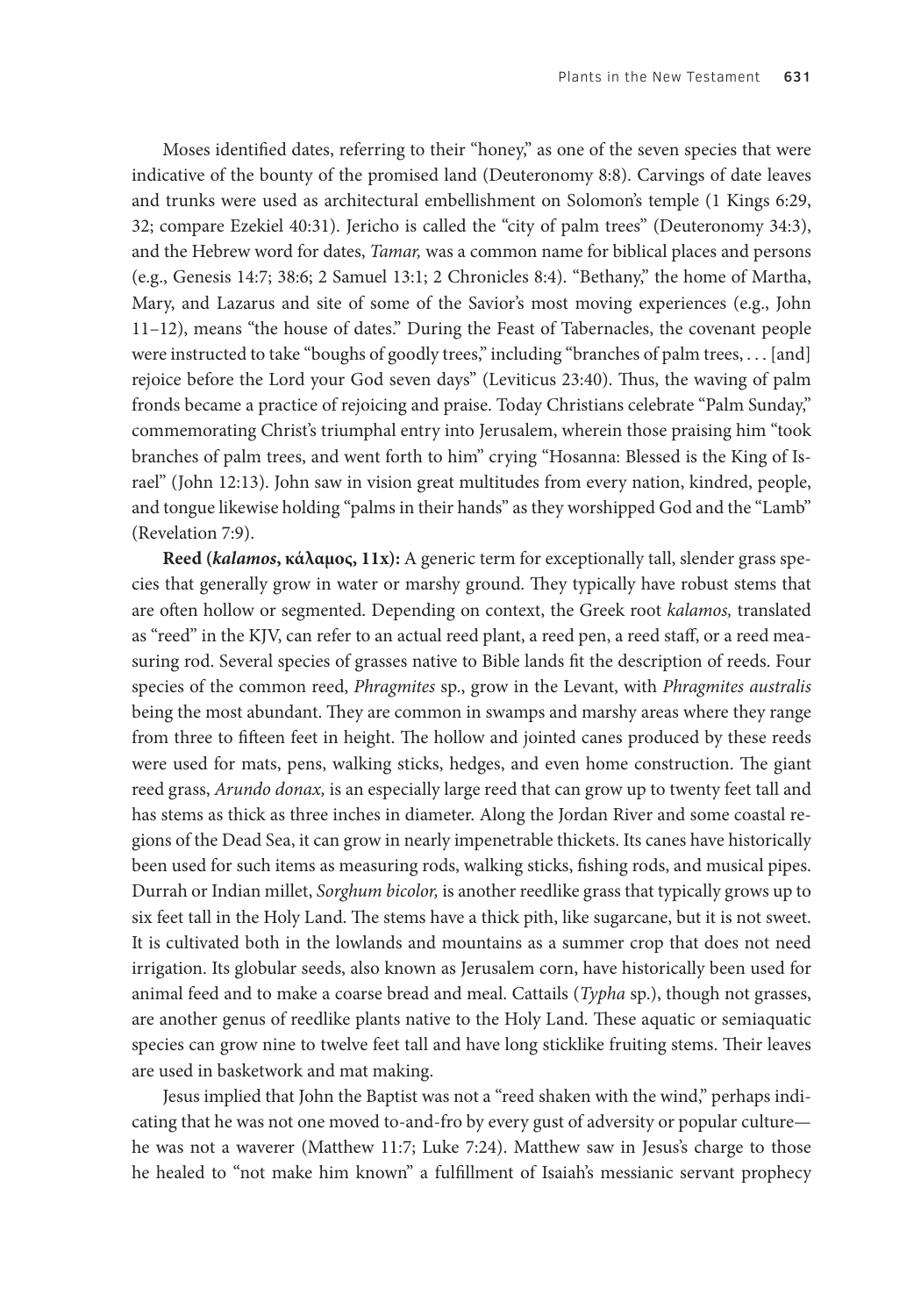Moses identified dates, referring to their "honey," as one of the seven species that were indicative of the bounty of the promised land (Deuteronomy 8:8). Carvings of date leaves and trunks were used as architectural embellishment on Solomon's temple (1 Kings 6:29, 32; compare Ezekiel 40:31). Jericho is called the "city of palm trees" (Deuteronomy 34:3), and the Hebrew word for dates, *Tamar,* was a common name for biblical places and persons (e.g., Genesis 14:7; 38:6; 2 Samuel 13:1; 2 Chronicles 8:4). "Bethany," the home of Martha, Mary, and Lazarus and site of some of the Savior's most moving experiences (e.g., John 11–12), means "the house of dates." During the Feast of Tabernacles, the covenant people were instructed to take "boughs of goodly trees," including "branches of palm trees, . . . [and] rejoice before the Lord your God seven days" (Leviticus 23:40). Thus, the waving of palm fronds became a practice of rejoicing and praise. Today Christians celebrate "Palm Sunday," commemorating Christ's triumphal entry into Jerusalem, wherein those praising him "took branches of palm trees, and went forth to him" crying "Hosanna: Blessed is the King of Israel" (John 12:13). John saw in vision great multitudes from every nation, kindred, people, and tongue likewise holding "palms in their hands" as they worshipped God and the "Lamb" (Revelation 7:9).

**Reed (***kalamos***, κάλαμος, 11x):** A generic term for exceptionally tall, slender grass species that generally grow in water or marshy ground. They typically have robust stems that are often hollow or segmented. Depending on context, the Greek root *kalamos,* translated as "reed" in the KJV, can refer to an actual reed plant, a reed pen, a reed staff, or a reed measuring rod. Several species of grasses native to Bible lands fit the description of reeds. Four species of the common reed, *Phragmites* sp., grow in the Levant, with *Phragmites australis*  being the most abundant. They are common in swamps and marshy areas where they range from three to fifteen feet in height. The hollow and jointed canes produced by these reeds were used for mats, pens, walking sticks, hedges, and even home construction. The giant reed grass, *Arundo donax,* is an especially large reed that can grow up to twenty feet tall and has stems as thick as three inches in diameter. Along the Jordan River and some coastal regions of the Dead Sea, it can grow in nearly impenetrable thickets. Its canes have historically been used for such items as measuring rods, walking sticks, fishing rods, and musical pipes. Durrah or Indian millet, *Sorghum bicolor,* is another reedlike grass that typically grows up to six feet tall in the Holy Land. The stems have a thick pith, like sugarcane, but it is not sweet. It is cultivated both in the lowlands and mountains as a summer crop that does not need irrigation. Its globular seeds, also known as Jerusalem corn, have historically been used for animal feed and to make a coarse bread and meal. Cattails (*Typha* sp.), though not grasses, are another genus of reedlike plants native to the Holy Land. These aquatic or semiaquatic species can grow nine to twelve feet tall and have long sticklike fruiting stems. Their leaves are used in basketwork and mat making.

Jesus implied that John the Baptist was not a "reed shaken with the wind," perhaps indicating that he was not one moved to-and-fro by every gust of adversity or popular culture he was not a waverer (Matthew 11:7; Luke 7:24). Matthew saw in Jesus's charge to those he healed to "not make him known" a fulfillment of Isaiah's messianic servant prophecy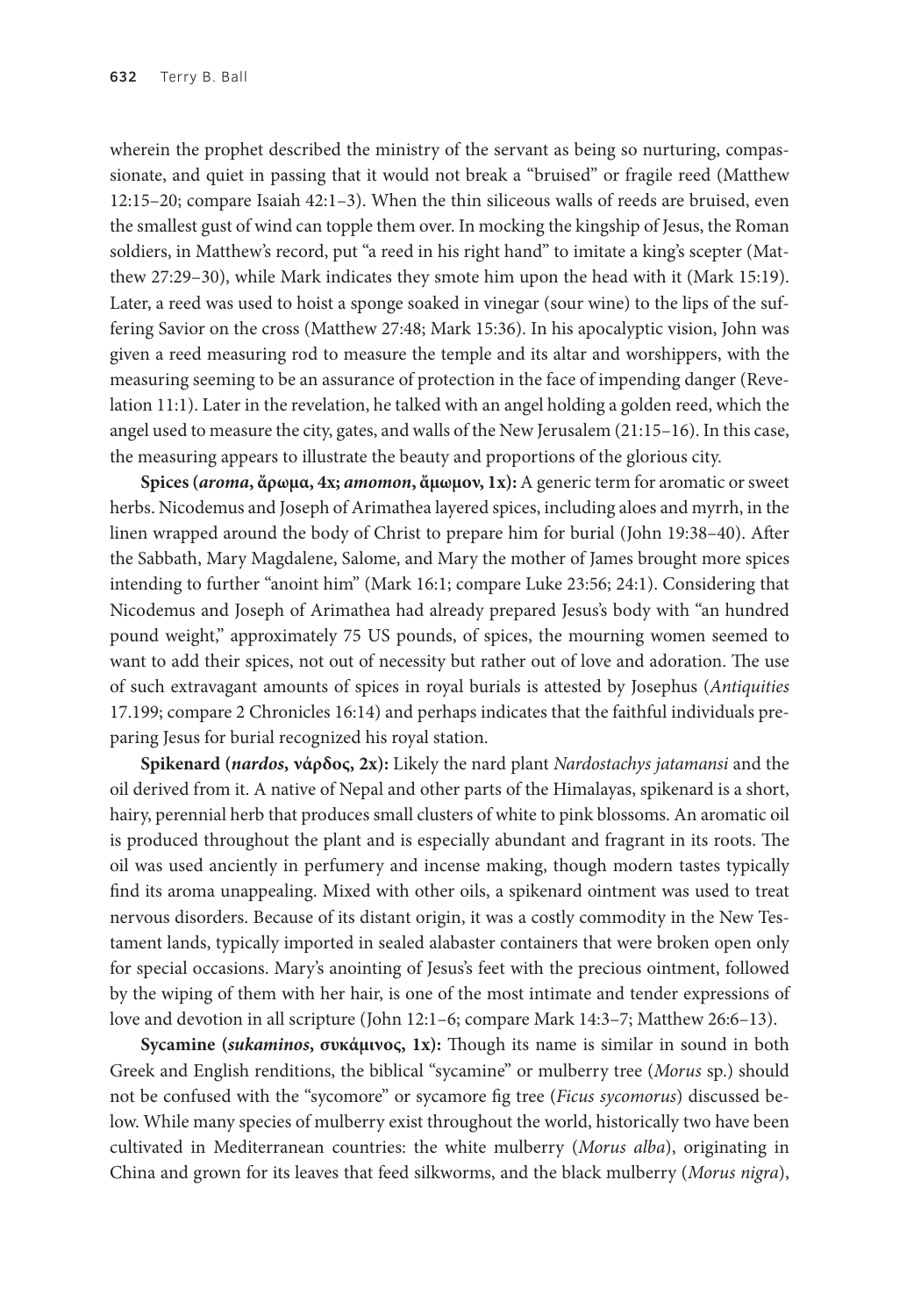wherein the prophet described the ministry of the servant as being so nurturing, compassionate, and quiet in passing that it would not break a "bruised" or fragile reed (Matthew 12:15–20; compare Isaiah 42:1–3). When the thin siliceous walls of reeds are bruised, even the smallest gust of wind can topple them over. In mocking the kingship of Jesus, the Roman soldiers, in Matthew's record, put "a reed in his right hand" to imitate a king's scepter (Matthew 27:29–30), while Mark indicates they smote him upon the head with it (Mark 15:19). Later, a reed was used to hoist a sponge soaked in vinegar (sour wine) to the lips of the suffering Savior on the cross (Matthew 27:48; Mark 15:36). In his apocalyptic vision, John was given a reed measuring rod to measure the temple and its altar and worshippers, with the measuring seeming to be an assurance of protection in the face of impending danger (Revelation 11:1). Later in the revelation, he talked with an angel holding a golden reed, which the angel used to measure the city, gates, and walls of the New Jerusalem (21:15–16). In this case, the measuring appears to illustrate the beauty and proportions of the glorious city.

**Spices (***aroma***, ἄρωμα, 4x;** *amomon***, ἄμωμον, 1x):** A generic term for aromatic or sweet herbs. Nicodemus and Joseph of Arimathea layered spices, including aloes and myrrh, in the linen wrapped around the body of Christ to prepare him for burial (John 19:38–40). After the Sabbath, Mary Magdalene, Salome, and Mary the mother of James brought more spices intending to further "anoint him" (Mark 16:1; compare Luke 23:56; 24:1). Considering that Nicodemus and Joseph of Arimathea had already prepared Jesus's body with "an hundred pound weight," approximately 75 US pounds, of spices, the mourning women seemed to want to add their spices, not out of necessity but rather out of love and adoration. The use of such extravagant amounts of spices in royal burials is attested by Josephus (*Antiquities* 17.199; compare 2 Chronicles 16:14) and perhaps indicates that the faithful individuals preparing Jesus for burial recognized his royal station.

**Spikenard (***nardos***, νάρδος, 2x):** Likely the nard plant *Nardostachys jatamansi* and the oil derived from it. A native of Nepal and other parts of the Himalayas, spikenard is a short, hairy, perennial herb that produces small clusters of white to pink blossoms. An aromatic oil is produced throughout the plant and is especially abundant and fragrant in its roots. The oil was used anciently in perfumery and incense making, though modern tastes typically find its aroma unappealing. Mixed with other oils, a spikenard ointment was used to treat nervous disorders. Because of its distant origin, it was a costly commodity in the New Testament lands, typically imported in sealed alabaster containers that were broken open only for special occasions. Mary's anointing of Jesus's feet with the precious ointment, followed by the wiping of them with her hair, is one of the most intimate and tender expressions of love and devotion in all scripture (John 12:1–6; compare Mark 14:3–7; Matthew 26:6–13).

**Sycamine (***sukaminos***, συκάμινος, 1x):** Though its name is similar in sound in both Greek and English renditions, the biblical "sycamine" or mulberry tree (*Morus* sp.) should not be confused with the "sycomore" or sycamore fig tree (*Ficus sycomorus*) discussed below. While many species of mulberry exist throughout the world, historically two have been cultivated in Mediterranean countries: the white mulberry (*Morus alba*), originating in China and grown for its leaves that feed silkworms, and the black mulberry (*Morus nigra*),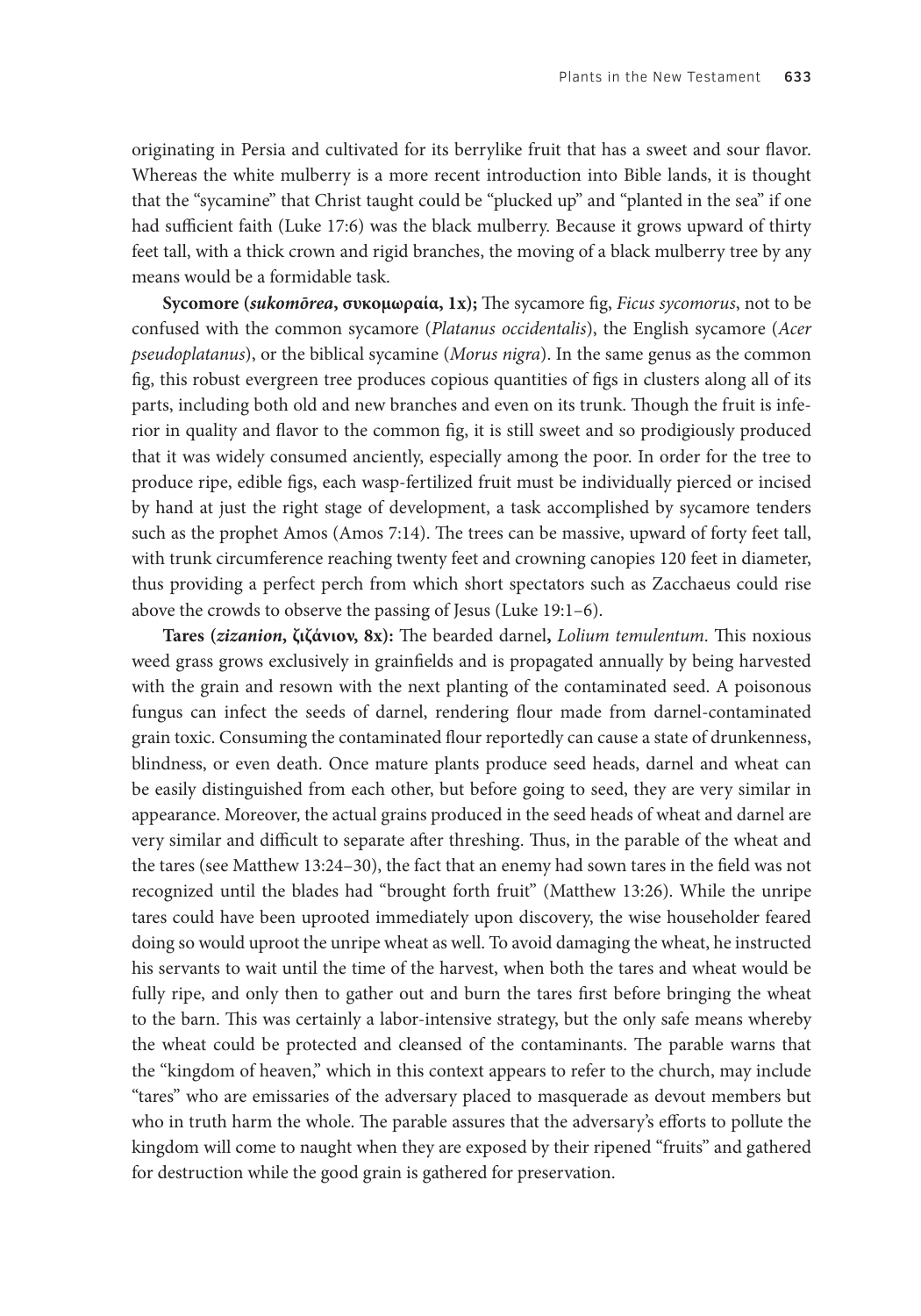originating in Persia and cultivated for its berrylike fruit that has a sweet and sour flavor. Whereas the white mulberry is a more recent introduction into Bible lands, it is thought that the "sycamine" that Christ taught could be "plucked up" and "planted in the sea" if one had sufficient faith (Luke 17:6) was the black mulberry. Because it grows upward of thirty feet tall, with a thick crown and rigid branches, the moving of a black mulberry tree by any means would be a formidable task.

**Sycomore (***sukomōrea***, συκομωραία, 1x);** The sycamore fig, *Ficus sycomorus*, not to be confused with the common sycamore (*Platanus occidentalis*), the English sycamore (*Acer pseudoplatanus*), or the biblical sycamine (*Morus nigra*). In the same genus as the common fig, this robust evergreen tree produces copious quantities of figs in clusters along all of its parts, including both old and new branches and even on its trunk. Though the fruit is inferior in quality and flavor to the common fig, it is still sweet and so prodigiously produced that it was widely consumed anciently, especially among the poor. In order for the tree to produce ripe, edible figs, each wasp-fertilized fruit must be individually pierced or incised by hand at just the right stage of development, a task accomplished by sycamore tenders such as the prophet Amos (Amos 7:14). The trees can be massive, upward of forty feet tall, with trunk circumference reaching twenty feet and crowning canopies 120 feet in diameter, thus providing a perfect perch from which short spectators such as Zacchaeus could rise above the crowds to observe the passing of Jesus (Luke 19:1–6).

**Tares (***zizanion***, ζιζάνιον, 8x):** The bearded darnel**,** *Lolium temulentum*. This noxious weed grass grows exclusively in grainfields and is propagated annually by being harvested with the grain and resown with the next planting of the contaminated seed. A poisonous fungus can infect the seeds of darnel, rendering flour made from darnel-contaminated grain toxic. Consuming the contaminated flour reportedly can cause a state of drunkenness, blindness, or even death. Once mature plants produce seed heads, darnel and wheat can be easily distinguished from each other, but before going to seed, they are very similar in appearance. Moreover, the actual grains produced in the seed heads of wheat and darnel are very similar and difficult to separate after threshing. Thus, in the parable of the wheat and the tares (see Matthew 13:24–30), the fact that an enemy had sown tares in the field was not recognized until the blades had "brought forth fruit" (Matthew 13:26). While the unripe tares could have been uprooted immediately upon discovery, the wise householder feared doing so would uproot the unripe wheat as well. To avoid damaging the wheat, he instructed his servants to wait until the time of the harvest, when both the tares and wheat would be fully ripe, and only then to gather out and burn the tares first before bringing the wheat to the barn. This was certainly a labor-intensive strategy, but the only safe means whereby the wheat could be protected and cleansed of the contaminants. The parable warns that the "kingdom of heaven," which in this context appears to refer to the church, may include "tares" who are emissaries of the adversary placed to masquerade as devout members but who in truth harm the whole. The parable assures that the adversary's efforts to pollute the kingdom will come to naught when they are exposed by their ripened "fruits" and gathered for destruction while the good grain is gathered for preservation.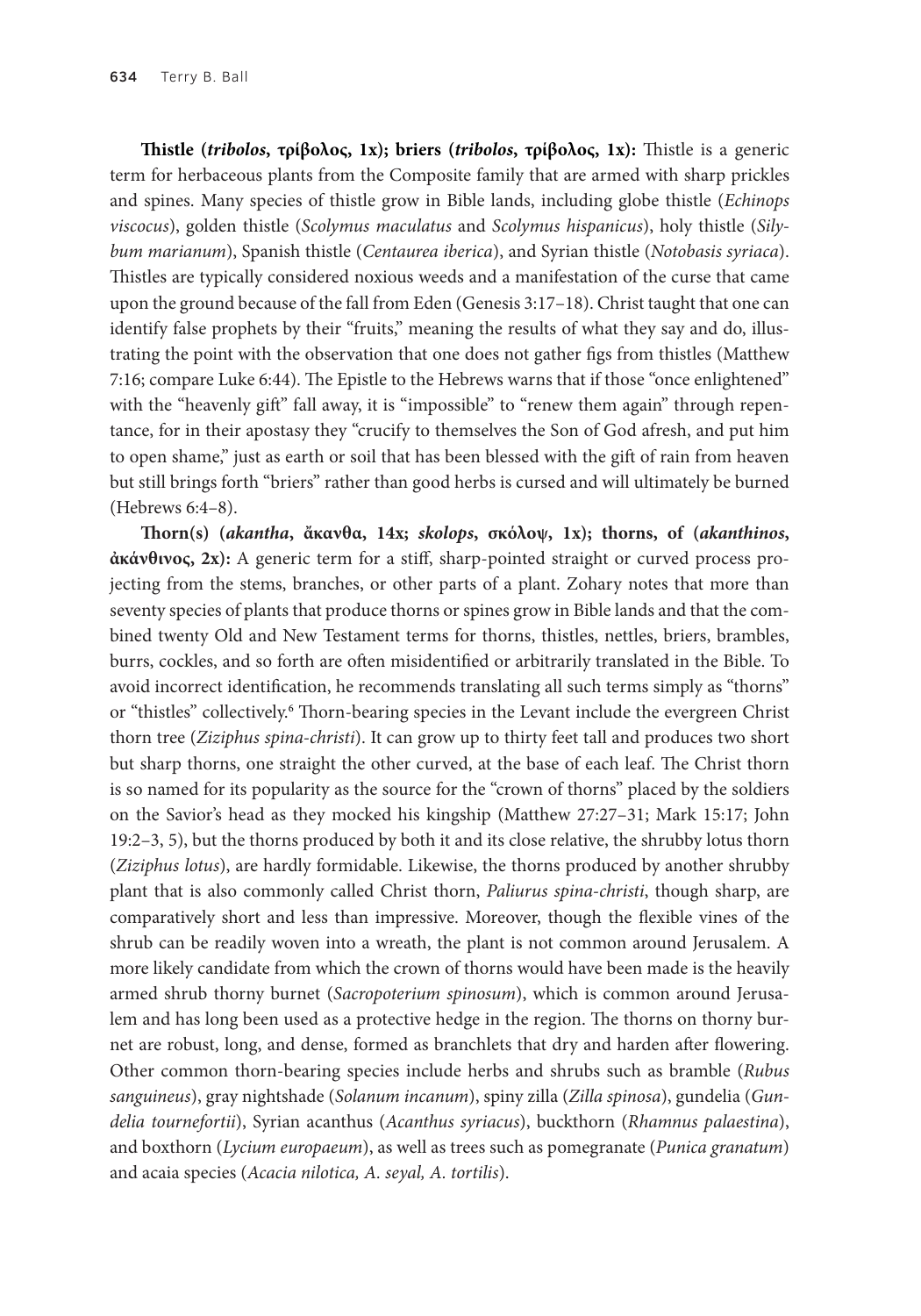**Thistle (***tribolos***, τρίβολος, 1x); briers (***tribolos***, τρίβολος, 1x):** Thistle is a generic term for herbaceous plants from the Composite family that are armed with sharp prickles and spines. Many species of thistle grow in Bible lands, including globe thistle (*Echinops viscocus*), golden thistle (*Scolymus maculatus* and *Scolymus hispanicus*), holy thistle (*Silybum marianum*), Spanish thistle (*Centaurea iberica*), and Syrian thistle (*Notobasis syriaca*). Thistles are typically considered noxious weeds and a manifestation of the curse that came upon the ground because of the fall from Eden (Genesis 3:17–18). Christ taught that one can identify false prophets by their "fruits," meaning the results of what they say and do, illustrating the point with the observation that one does not gather figs from thistles (Matthew 7:16; compare Luke 6:44). The Epistle to the Hebrews warns that if those "once enlightened" with the "heavenly gift" fall away, it is "impossible" to "renew them again" through repentance, for in their apostasy they "crucify to themselves the Son of God afresh, and put him to open shame," just as earth or soil that has been blessed with the gift of rain from heaven but still brings forth "briers" rather than good herbs is cursed and will ultimately be burned (Hebrews 6:4–8).

**Thorn(s) (***akantha***, ἄκανθα, 14x;** *skolops***, σκόλοψ, 1x); thorns, of (***akanthinos***, ἀκάνθινος, 2x):** A generic term for a stiff, sharp-pointed straight or curved process projecting from the stems, branches, or other parts of a plant. Zohary notes that more than seventy species of plants that produce thorns or spines grow in Bible lands and that the combined twenty Old and New Testament terms for thorns, thistles, nettles, briers, brambles, burrs, cockles, and so forth are often misidentified or arbitrarily translated in the Bible. To avoid incorrect identification, he recommends translating all such terms simply as "thorns" or "thistles" collectively.<sup>6</sup> Thorn-bearing species in the Levant include the evergreen Christ thorn tree (*Ziziphus spina-christi*). It can grow up to thirty feet tall and produces two short but sharp thorns, one straight the other curved, at the base of each leaf. The Christ thorn is so named for its popularity as the source for the "crown of thorns" placed by the soldiers on the Savior's head as they mocked his kingship (Matthew 27:27–31; Mark 15:17; John 19:2–3, 5), but the thorns produced by both it and its close relative, the shrubby lotus thorn (*Ziziphus lotus*), are hardly formidable. Likewise, the thorns produced by another shrubby plant that is also commonly called Christ thorn, *Paliurus spina-christi*, though sharp, are comparatively short and less than impressive. Moreover, though the flexible vines of the shrub can be readily woven into a wreath, the plant is not common around Jerusalem. A more likely candidate from which the crown of thorns would have been made is the heavily armed shrub thorny burnet (*Sacropoterium spinosum*), which is common around Jerusalem and has long been used as a protective hedge in the region. The thorns on thorny burnet are robust, long, and dense, formed as branchlets that dry and harden after flowering. Other common thorn-bearing species include herbs and shrubs such as bramble (*Rubus sanguineus*), gray nightshade (*Solanum incanum*), spiny zilla (*Zilla spinosa*), gundelia (*Gundelia tournefortii*), Syrian acanthus (*Acanthus syriacus*), buckthorn (*Rhamnus palaestina*), and boxthorn (*Lycium europaeum*), as well as trees such as pomegranate (*Punica granatum*) and acaia species (*Acacia nilotica, A. seyal, A. tortilis*).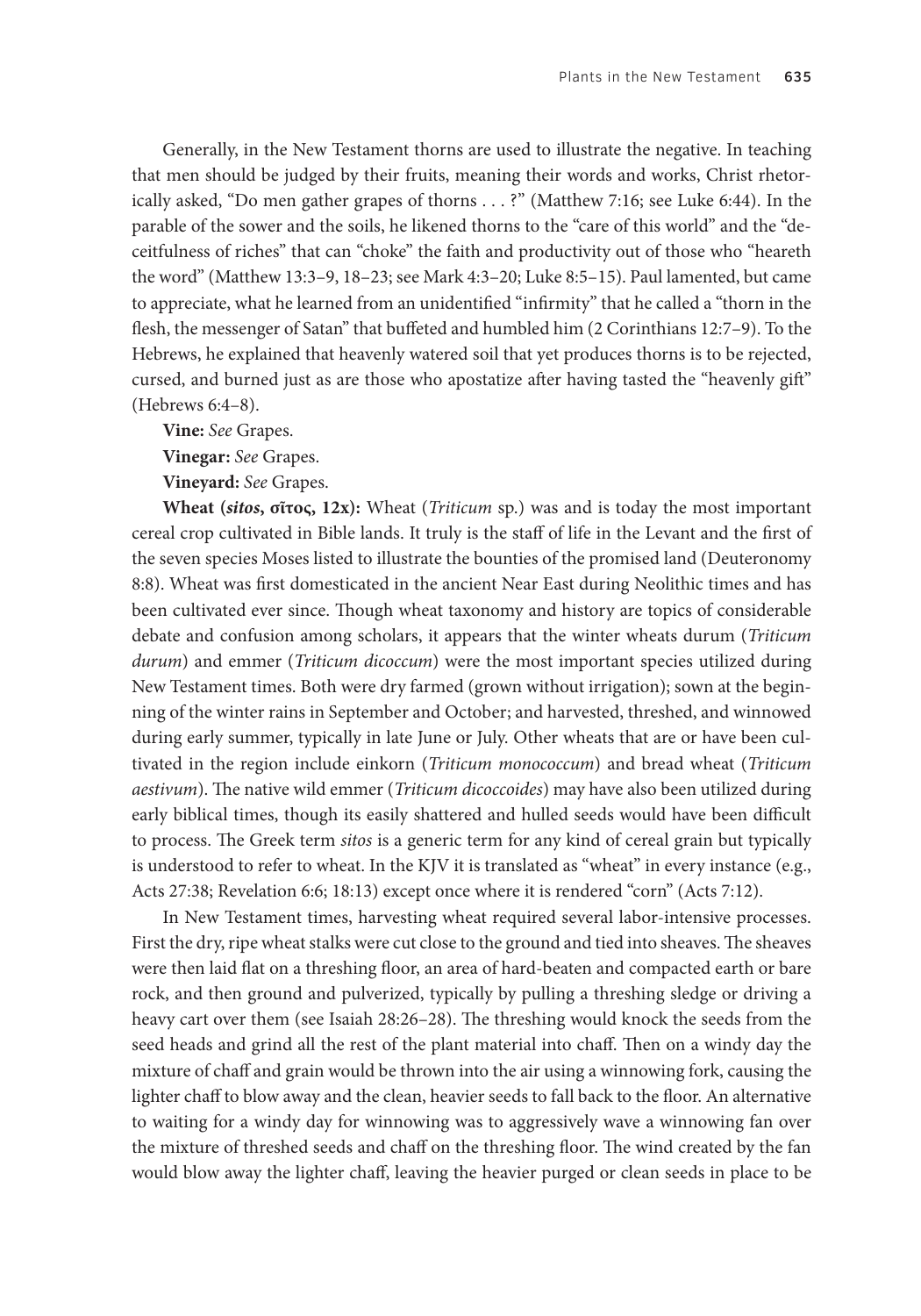Generally, in the New Testament thorns are used to illustrate the negative. In teaching that men should be judged by their fruits, meaning their words and works, Christ rhetorically asked, "Do men gather grapes of thorns . . . ?" (Matthew 7:16; see Luke 6:44). In the parable of the sower and the soils, he likened thorns to the "care of this world" and the "deceitfulness of riches" that can "choke" the faith and productivity out of those who "heareth the word" (Matthew 13:3–9, 18–23; see Mark 4:3–20; Luke 8:5–15). Paul lamented, but came to appreciate, what he learned from an unidentified "infirmity" that he called a "thorn in the flesh, the messenger of Satan" that buffeted and humbled him (2 Corinthians 12:7–9). To the Hebrews, he explained that heavenly watered soil that yet produces thorns is to be rejected, cursed, and burned just as are those who apostatize after having tasted the "heavenly gift" (Hebrews 6:4–8).

**Vine:** *See* Grapes.

**Vinegar:** *See* Grapes.

**Vineyard:** *See* Grapes.

**Wheat (***sitos***, σῖτος, 12x):** Wheat (*Triticum* sp.) was and is today the most important cereal crop cultivated in Bible lands. It truly is the staff of life in the Levant and the first of the seven species Moses listed to illustrate the bounties of the promised land (Deuteronomy 8:8). Wheat was first domesticated in the ancient Near East during Neolithic times and has been cultivated ever since. Though wheat taxonomy and history are topics of considerable debate and confusion among scholars, it appears that the winter wheats durum (*Triticum durum*) and emmer (*Triticum dicoccum*) were the most important species utilized during New Testament times. Both were dry farmed (grown without irrigation); sown at the beginning of the winter rains in September and October; and harvested, threshed, and winnowed during early summer, typically in late June or July. Other wheats that are or have been cultivated in the region include einkorn (*Triticum monococcum*) and bread wheat (*Triticum aestivum*). The native wild emmer (*Triticum dicoccoides*) may have also been utilized during early biblical times, though its easily shattered and hulled seeds would have been difficult to process. The Greek term *sitos* is a generic term for any kind of cereal grain but typically is understood to refer to wheat. In the KJV it is translated as "wheat" in every instance (e.g., Acts 27:38; Revelation 6:6; 18:13) except once where it is rendered "corn" (Acts 7:12).

In New Testament times, harvesting wheat required several labor-intensive processes. First the dry, ripe wheat stalks were cut close to the ground and tied into sheaves. The sheaves were then laid flat on a threshing floor, an area of hard-beaten and compacted earth or bare rock, and then ground and pulverized, typically by pulling a threshing sledge or driving a heavy cart over them (see Isaiah 28:26–28). The threshing would knock the seeds from the seed heads and grind all the rest of the plant material into chaff. Then on a windy day the mixture of chaff and grain would be thrown into the air using a winnowing fork, causing the lighter chaff to blow away and the clean, heavier seeds to fall back to the floor. An alternative to waiting for a windy day for winnowing was to aggressively wave a winnowing fan over the mixture of threshed seeds and chaff on the threshing floor. The wind created by the fan would blow away the lighter chaff, leaving the heavier purged or clean seeds in place to be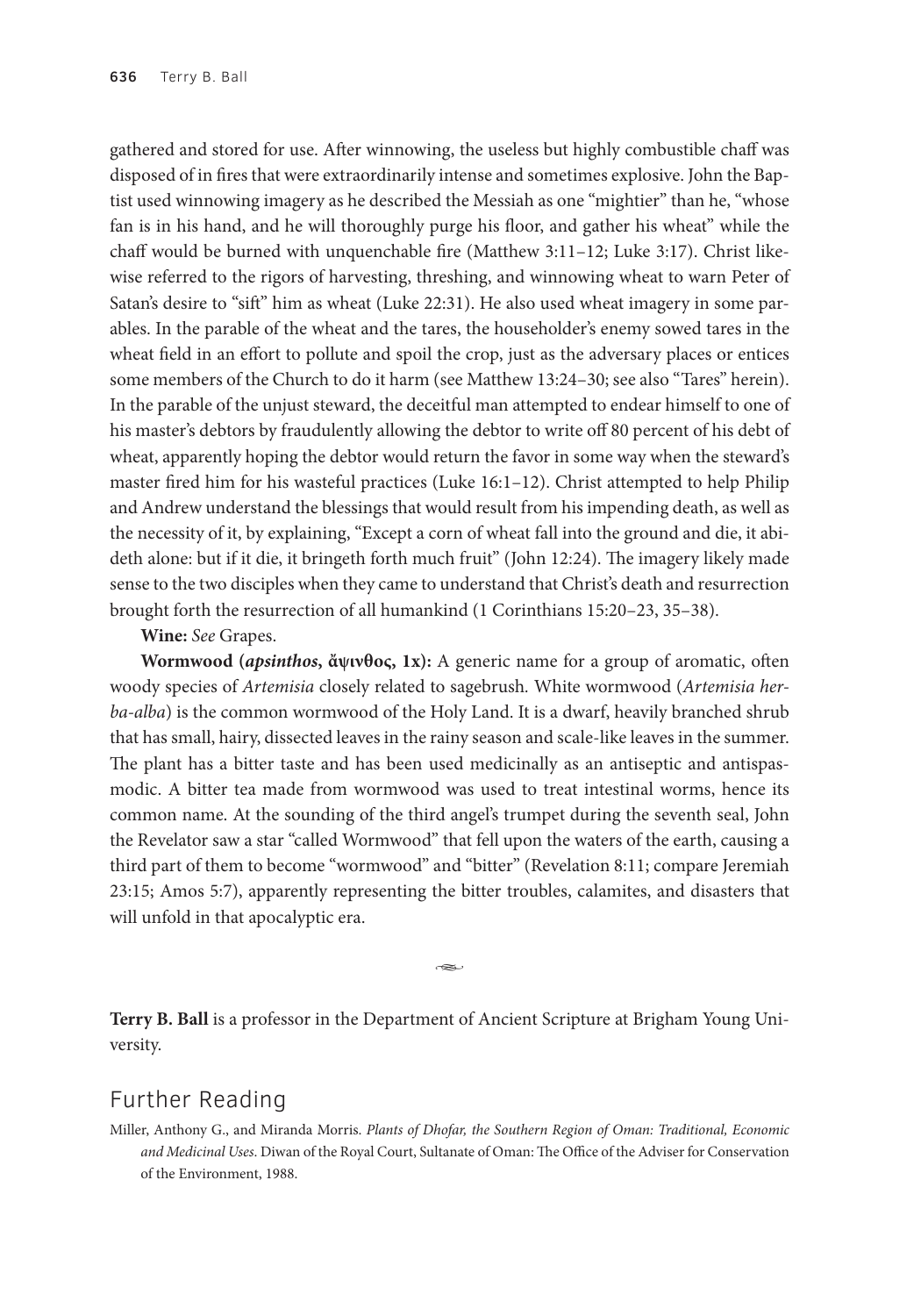gathered and stored for use. After winnowing, the useless but highly combustible chaff was disposed of in fires that were extraordinarily intense and sometimes explosive. John the Baptist used winnowing imagery as he described the Messiah as one "mightier" than he, "whose fan is in his hand, and he will thoroughly purge his floor, and gather his wheat" while the chaff would be burned with unquenchable fire (Matthew 3:11–12; Luke 3:17). Christ likewise referred to the rigors of harvesting, threshing, and winnowing wheat to warn Peter of Satan's desire to "sift" him as wheat (Luke 22:31). He also used wheat imagery in some parables. In the parable of the wheat and the tares, the householder's enemy sowed tares in the wheat field in an effort to pollute and spoil the crop, just as the adversary places or entices some members of the Church to do it harm (see Matthew 13:24–30; see also "Tares" herein). In the parable of the unjust steward, the deceitful man attempted to endear himself to one of his master's debtors by fraudulently allowing the debtor to write off 80 percent of his debt of wheat, apparently hoping the debtor would return the favor in some way when the steward's master fired him for his wasteful practices (Luke 16:1–12). Christ attempted to help Philip and Andrew understand the blessings that would result from his impending death, as well as the necessity of it, by explaining, "Except a corn of wheat fall into the ground and die, it abideth alone: but if it die, it bringeth forth much fruit" (John 12:24). The imagery likely made sense to the two disciples when they came to understand that Christ's death and resurrection brought forth the resurrection of all humankind (1 Corinthians 15:20–23, 35–38).

**Wine:** *See* Grapes.

**Wormwood (***apsinthos***, ἄψινθος, 1x):** A generic name for a group of aromatic, often woody species of *Artemisia* closely related to sagebrush*.* White wormwood (*Artemisia herba-alba*) is the common wormwood of the Holy Land. It is a dwarf, heavily branched shrub that has small, hairy, dissected leaves in the rainy season and scale-like leaves in the summer. The plant has a bitter taste and has been used medicinally as an antiseptic and antispasmodic. A bitter tea made from wormwood was used to treat intestinal worms, hence its common name. At the sounding of the third angel's trumpet during the seventh seal, John the Revelator saw a star "called Wormwood" that fell upon the waters of the earth, causing a third part of them to become "wormwood" and "bitter" (Revelation 8:11; compare Jeremiah 23:15; Amos 5:7), apparently representing the bitter troubles, calamites, and disasters that will unfold in that apocalyptic era.

ىھە

**Terry B. Ball** is a professor in the Department of Ancient Scripture at Brigham Young University.

### Further Reading

Miller, Anthony G., and Miranda Morris. *Plants of Dhofar, the Southern Region of Oman: Traditional, Economic and Medicinal Uses*. Diwan of the Royal Court, Sultanate of Oman: The Office of the Adviser for Conservation of the Environment, 1988.